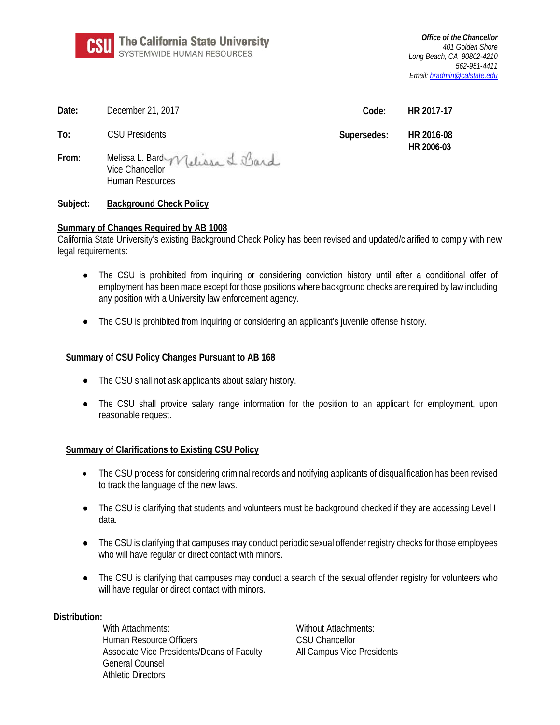

| Date: | December 21, 2017              | Code:       | HR 2017-17               |
|-------|--------------------------------|-------------|--------------------------|
| To:   | CSU Presidents                 | Supersedes: | HR 2016-08<br>HR 2006-03 |
| From: | Melissa L. Bard Melissa & Bard |             |                          |

#### **Subject: Background Check Policy**

Human Resources

#### **Summary of Changes Required by AB 1008**

California State University's existing Background Check Policy has been revised and updated/clarified to comply with new legal requirements:

- The CSU is prohibited from inquiring or considering conviction history until after a conditional offer of employment has been made except for those positions where background checks are required by law including any position with a University law enforcement agency.
- The CSU is prohibited from inquiring or considering an applicant's juvenile offense history.

#### **Summary of CSU Policy Changes Pursuant to AB 168**

- The CSU shall not ask applicants about salary history.
- The CSU shall provide salary range information for the position to an applicant for employment, upon reasonable request.

#### **Summary of Clarifications to Existing CSU Policy**

- The CSU process for considering criminal records and notifying applicants of disqualification has been revised to track the language of the new laws.
- The CSU is clarifying that students and volunteers must be background checked if they are accessing Level I data.
- The CSU is clarifying that campuses may conduct periodic sexual offender registry checks for those employees who will have regular or direct contact with minors.
- The CSU is clarifying that campuses may conduct a search of the sexual offender registry for volunteers who will have regular or direct contact with minors.

#### **Distribution:**

With Attachments:Without Attachments: Human Resource Officers CSU Chancellor Associate Vice Presidents/Deans of Faculty All Campus Vice Presidents General Counsel Athletic Directors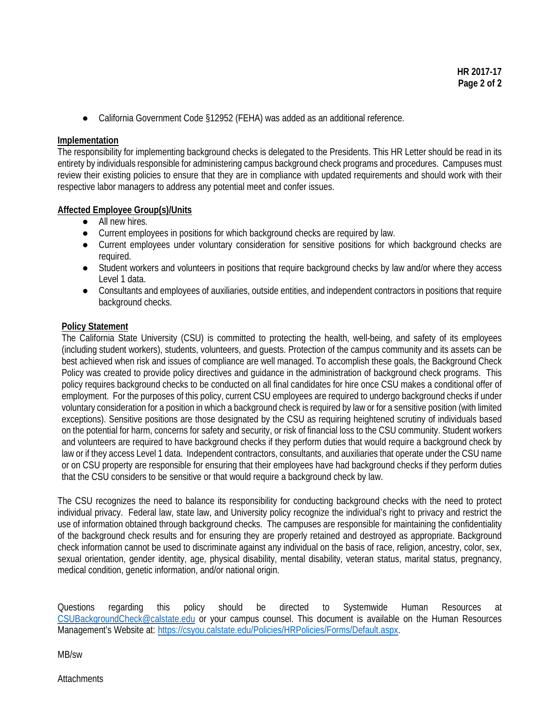● California Government Code §12952 (FEHA) was added as an additional reference.

#### **Implementation**

The responsibility for implementing background checks is delegated to the Presidents. This HR Letter should be read in its entirety by individuals responsible for administering campus background check programs and procedures. Campuses must review their existing policies to ensure that they are in compliance with updated requirements and should work with their respective labor managers to address any potential meet and confer issues.

#### **Affected Employee Group(s)/Units**

- All new hires.
- Current employees in positions for which background checks are required by law.
- Current employees under voluntary consideration for sensitive positions for which background checks are required.
- Student workers and volunteers in positions that require background checks by law and/or where they access Level 1 data.
- Consultants and employees of auxiliaries, outside entities, and independent contractors in positions that require background checks.

#### **Policy Statement**

The California State University (CSU) is committed to protecting the health, well-being, and safety of its employees (including student workers), students, volunteers, and guests. Protection of the campus community and its assets can be best achieved when risk and issues of compliance are well managed. To accomplish these goals, the Background Check Policy was created to provide policy directives and guidance in the administration of background check programs. This policy requires background checks to be conducted on all final candidates for hire once CSU makes a conditional offer of employment. For the purposes of this policy, current CSU employees are required to undergo background checks if under voluntary consideration for a position in which a background check is required by law or for a sensitive position (with limited exceptions). Sensitive positions are those designated by the CSU as requiring heightened scrutiny of individuals based on the potential for harm, concerns for safety and security, or risk of financial loss to the CSU community. Student workers and volunteers are required to have background checks if they perform duties that would require a background check by law or if they access Level 1 data. Independent contractors, consultants, and auxiliaries that operate under the CSU name or on CSU property are responsible for ensuring that their employees have had background checks if they perform duties that the CSU considers to be sensitive or that would require a background check by law.

The CSU recognizes the need to balance its responsibility for conducting background checks with the need to protect individual privacy. Federal law, state law, and University policy recognize the individual's right to privacy and restrict the use of information obtained through background checks. The campuses are responsible for maintaining the confidentiality of the background check results and for ensuring they are properly retained and destroyed as appropriate. Background check information cannot be used to discriminate against any individual on the basis of race, religion, ancestry, color, sex, sexual orientation, gender identity, age, physical disability, mental disability, veteran status, marital status, pregnancy, medical condition, genetic information, and/or national origin.

Questions regarding this policy should be directed to Systemwide Human Resources at [CSUBackgroundCheck@calstate.edu](mailto:CSUBackgroundCheck@calstate.edu) or your campus counsel. This document is available on the Human Resources Management's Website at: [https://csyou.calstate.edu/Policies/HRPolicies/Forms/Default.aspx.](https://csyou.calstate.edu/Policies/HRPolicies/Forms/Default.aspx) 

MB/sw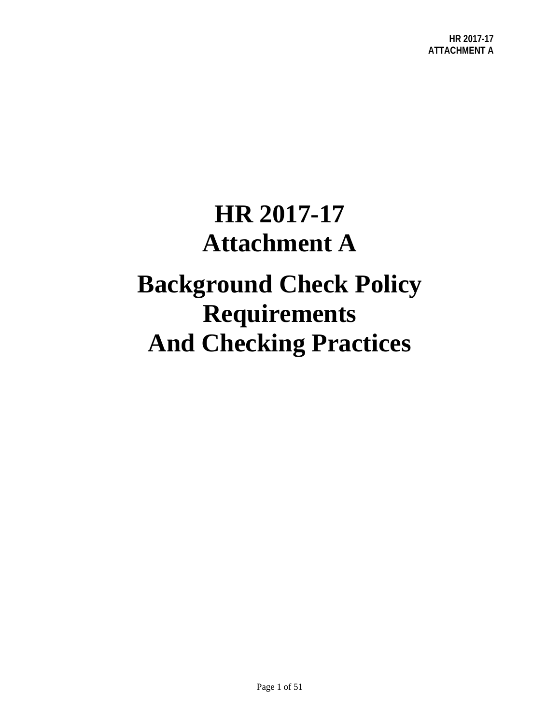## **HR 2017-17 Attachment A**

## **Background Check Policy Requirements And Checking Practices**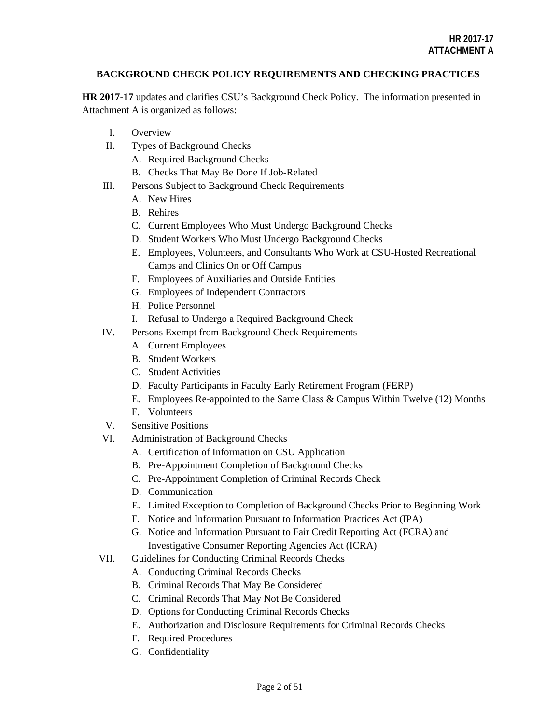#### **BACKGROUND CHECK POLICY REQUIREMENTS AND CHECKING PRACTICES**

**HR 2017-17** updates and clarifies CSU's Background Check Policy. The information presented in Attachment A is organized as follows:

- I. Overview
- II. Types of Background Checks
	- A. Required Background Checks
	- B. Checks That May Be Done If Job-Related
- III. Persons Subject to Background Check Requirements
	- A. New Hires
	- B. Rehires
	- C. Current Employees Who Must Undergo Background Checks
	- D. Student Workers Who Must Undergo Background Checks
	- E. Employees, Volunteers, and Consultants Who Work at CSU-Hosted Recreational Camps and Clinics On or Off Campus
	- F. Employees of Auxiliaries and Outside Entities
	- G. Employees of Independent Contractors
	- H. Police Personnel
	- I. Refusal to Undergo a Required Background Check
- IV. Persons Exempt from Background Check Requirements
	- A. Current Employees
	- B. Student Workers
	- C. Student Activities
	- D. Faculty Participants in Faculty Early Retirement Program (FERP)
	- E. Employees Re-appointed to the Same Class & Campus Within Twelve (12) Months
	- F. Volunteers
- V. Sensitive Positions
- VI. Administration of Background Checks
	- A. Certification of Information on CSU Application
	- B. Pre-Appointment Completion of Background Checks
	- C. Pre-Appointment Completion of Criminal Records Check
	- D. Communication
	- E. Limited Exception to Completion of Background Checks Prior to Beginning Work
	- F. Notice and Information Pursuant to Information Practices Act (IPA)
	- G. Notice and Information Pursuant to Fair Credit Reporting Act (FCRA) and Investigative Consumer Reporting Agencies Act (ICRA)
- VII. Guidelines for Conducting Criminal Records Checks
	- A. Conducting Criminal Records Checks
	- B. Criminal Records That May Be Considered
	- C. Criminal Records That May Not Be Considered
	- D. Options for Conducting Criminal Records Checks
	- E. Authorization and Disclosure Requirements for Criminal Records Checks
	- F. Required Procedures
	- G. Confidentiality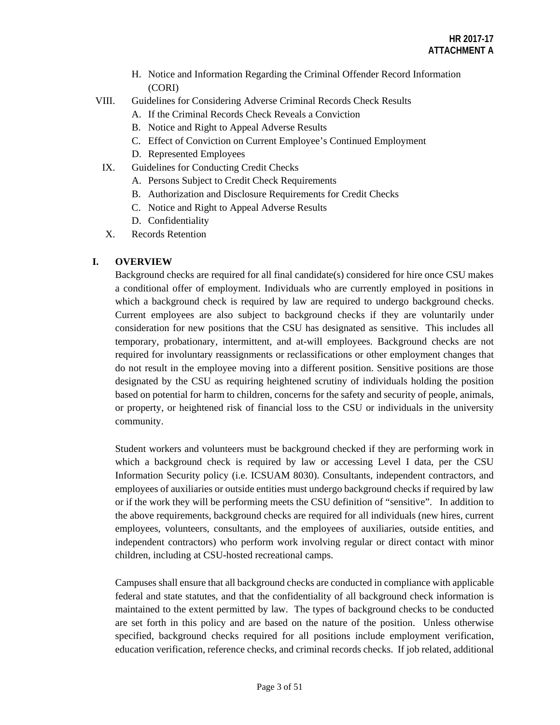- H. Notice and Information Regarding the Criminal Offender Record Information (CORI)
- VIII. Guidelines for Considering Adverse Criminal Records Check Results
	- A. If the Criminal Records Check Reveals a Conviction
	- B. Notice and Right to Appeal Adverse Results
	- C. Effect of Conviction on Current Employee's Continued Employment
	- D. Represented Employees
- IX. Guidelines for Conducting Credit Checks
	- A. Persons Subject to Credit Check Requirements
	- B. Authorization and Disclosure Requirements for Credit Checks
	- C. Notice and Right to Appeal Adverse Results
	- D. Confidentiality
- X. Records Retention

#### **I. OVERVIEW**

Background checks are required for all final candidate(s) considered for hire once CSU makes a conditional offer of employment. Individuals who are currently employed in positions in which a background check is required by law are required to undergo background checks. Current employees are also subject to background checks if they are voluntarily under consideration for new positions that the CSU has designated as sensitive. This includes all temporary, probationary, intermittent, and at-will employees. Background checks are not required for involuntary reassignments or reclassifications or other employment changes that do not result in the employee moving into a different position. Sensitive positions are those designated by the CSU as requiring heightened scrutiny of individuals holding the position based on potential for harm to children, concerns for the safety and security of people, animals, or property, or heightened risk of financial loss to the CSU or individuals in the university community.

Student workers and volunteers must be background checked if they are performing work in which a background check is required by law or accessing Level I data, per the CSU Information Security policy (i.e. ICSUAM 8030). Consultants, independent contractors, and employees of auxiliaries or outside entities must undergo background checks if required by law or if the work they will be performing meets the CSU definition of "sensitive". In addition to the above requirements, background checks are required for all individuals (new hires, current employees, volunteers, consultants, and the employees of auxiliaries, outside entities, and independent contractors) who perform work involving regular or direct contact with minor children, including at CSU-hosted recreational camps.

Campuses shall ensure that all background checks are conducted in compliance with applicable federal and state statutes, and that the confidentiality of all background check information is maintained to the extent permitted by law. The types of background checks to be conducted are set forth in this policy and are based on the nature of the position. Unless otherwise specified, background checks required for all positions include employment verification, education verification, reference checks, and criminal records checks. If job related, additional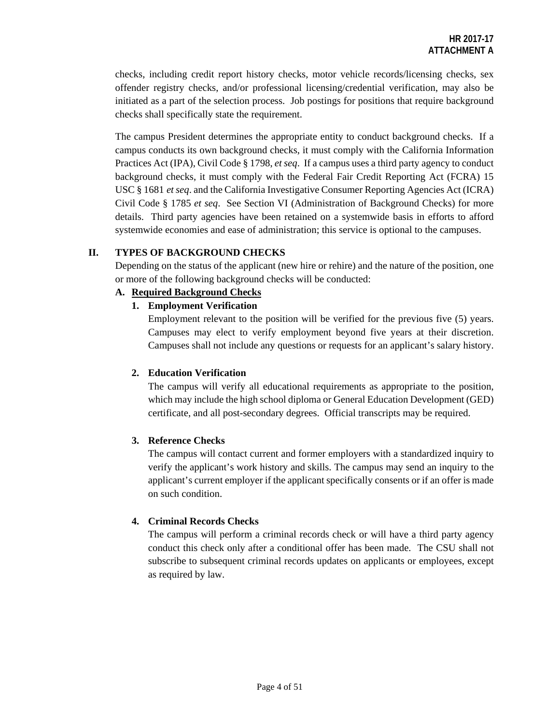checks, including credit report history checks, motor vehicle records/licensing checks, sex offender registry checks, and/or professional licensing/credential verification, may also be initiated as a part of the selection process. Job postings for positions that require background checks shall specifically state the requirement.

The campus President determines the appropriate entity to conduct background checks. If a campus conducts its own background checks, it must comply with the California Information Practices Act (IPA), Civil Code § 1798, *et seq*. If a campus uses a third party agency to conduct background checks, it must comply with the Federal Fair Credit Reporting Act (FCRA) 15 USC § 1681 *et seq*. and the California Investigative Consumer Reporting Agencies Act (ICRA) Civil Code § 1785 *et seq*. See Section VI (Administration of Background Checks) for more details. Third party agencies have been retained on a systemwide basis in efforts to afford systemwide economies and ease of administration; this service is optional to the campuses.

#### **II. TYPES OF BACKGROUND CHECKS**

Depending on the status of the applicant (new hire or rehire) and the nature of the position, one or more of the following background checks will be conducted:

#### **A. Required Background Checks**

#### **1. Employment Verification**

Employment relevant to the position will be verified for the previous five (5) years. Campuses may elect to verify employment beyond five years at their discretion. Campuses shall not include any questions or requests for an applicant's salary history.

#### **2. Education Verification**

The campus will verify all educational requirements as appropriate to the position, which may include the high school diploma or General Education Development (GED) certificate, and all post-secondary degrees. Official transcripts may be required.

#### **3. Reference Checks**

The campus will contact current and former employers with a standardized inquiry to verify the applicant's work history and skills. The campus may send an inquiry to the applicant's current employer if the applicant specifically consents or if an offer is made on such condition.

#### **4. Criminal Records Checks**

The campus will perform a criminal records check or will have a third party agency conduct this check only after a conditional offer has been made. The CSU shall not subscribe to subsequent criminal records updates on applicants or employees, except as required by law.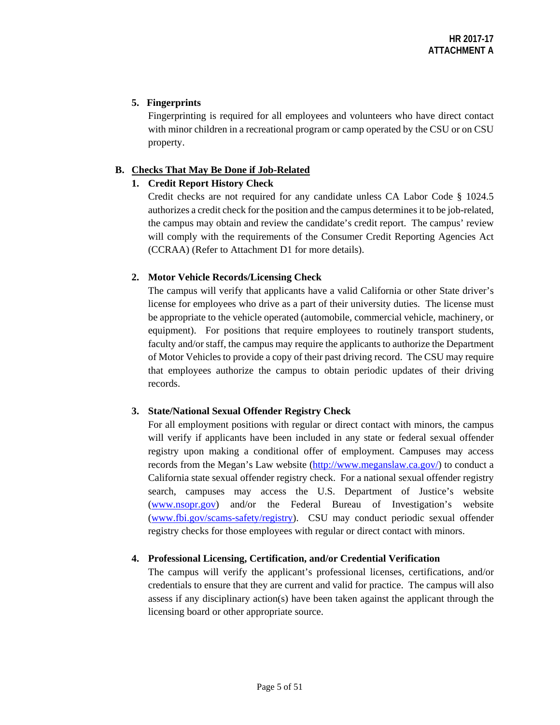#### **5. Fingerprints**

Fingerprinting is required for all employees and volunteers who have direct contact with minor children in a recreational program or camp operated by the CSU or on CSU property.

#### **B. Checks That May Be Done if Job-Related**

#### **1. Credit Report History Check**

Credit checks are not required for any candidate unless CA Labor Code § 1024.5 authorizes a credit check for the position and the campus determines it to be job-related, the campus may obtain and review the candidate's credit report. The campus' review will comply with the requirements of the Consumer Credit Reporting Agencies Act (CCRAA) (Refer to Attachment D1 for more details).

#### **2. Motor Vehicle Records/Licensing Check**

The campus will verify that applicants have a valid California or other State driver's license for employees who drive as a part of their university duties. The license must be appropriate to the vehicle operated (automobile, commercial vehicle, machinery, or equipment). For positions that require employees to routinely transport students, faculty and/or staff, the campus may require the applicants to authorize the Department of Motor Vehicles to provide a copy of their past driving record. The CSU may require that employees authorize the campus to obtain periodic updates of their driving records.

#### **3. State/National Sexual Offender Registry Check**

For all employment positions with regular or direct contact with minors, the campus will verify if applicants have been included in any state or federal sexual offender registry upon making a conditional offer of employment. Campuses may access records from the Megan's Law website [\(http://www.meganslaw.ca.gov/\)](http://www.meganslaw.ca.gov/) to conduct a California state sexual offender registry check. For a national sexual offender registry search, campuses may access the U.S. Department of Justice's website [\(www.nsopr.gov\)](http://www.nsopr.gov/) and/or the Federal Bureau of Investigation's website [\(www.fbi.gov/scams-safety/registry\)](http://www.fbi.gov/scams-safety/registry). CSU may conduct periodic sexual offender registry checks for those employees with regular or direct contact with minors.

#### **4. Professional Licensing, Certification, and/or Credential Verification**

The campus will verify the applicant's professional licenses, certifications, and/or credentials to ensure that they are current and valid for practice. The campus will also assess if any disciplinary action(s) have been taken against the applicant through the licensing board or other appropriate source.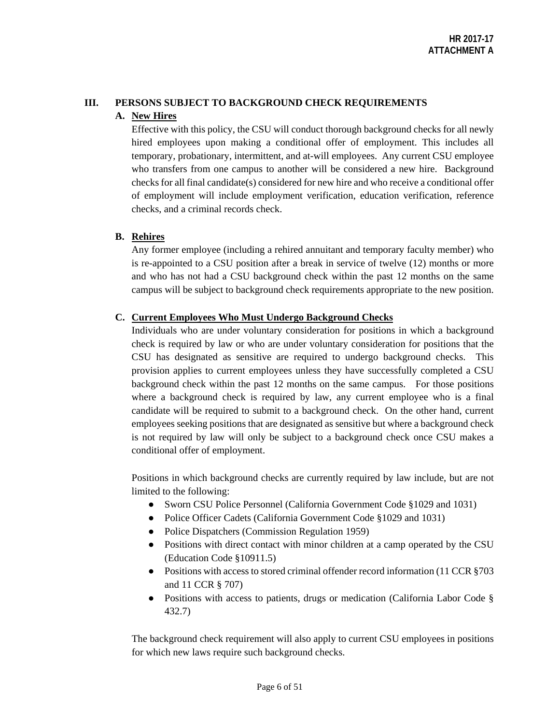#### **III. PERSONS SUBJECT TO BACKGROUND CHECK REQUIREMENTS**

#### **A. New Hires**

Effective with this policy, the CSU will conduct thorough background checks for all newly hired employees upon making a conditional offer of employment. This includes all temporary, probationary, intermittent, and at-will employees. Any current CSU employee who transfers from one campus to another will be considered a new hire. Background checks for all final candidate(s) considered for new hire and who receive a conditional offer of employment will include employment verification, education verification, reference checks, and a criminal records check.

#### **B. Rehires**

Any former employee (including a rehired annuitant and temporary faculty member) who is re-appointed to a CSU position after a break in service of twelve (12) months or more and who has not had a CSU background check within the past 12 months on the same campus will be subject to background check requirements appropriate to the new position.

#### **C. Current Employees Who Must Undergo Background Checks**

Individuals who are under voluntary consideration for positions in which a background check is required by law or who are under voluntary consideration for positions that the CSU has designated as sensitive are required to undergo background checks. This provision applies to current employees unless they have successfully completed a CSU background check within the past 12 months on the same campus. For those positions where a background check is required by law, any current employee who is a final candidate will be required to submit to a background check. On the other hand, current employees seeking positions that are designated as sensitive but where a background check is not required by law will only be subject to a background check once CSU makes a conditional offer of employment.

Positions in which background checks are currently required by law include, but are not limited to the following:

- Sworn CSU Police Personnel (California Government Code §1029 and 1031)
- Police Officer Cadets (California Government Code §1029 and 1031)
- Police Dispatchers (Commission Regulation 1959)
- Positions with direct contact with minor children at a camp operated by the CSU (Education Code §10911.5)
- Positions with access to stored criminal offender record information (11 CCR §703) and 11 CCR § 707)
- Positions with access to patients, drugs or medication (California Labor Code § 432.7)

The background check requirement will also apply to current CSU employees in positions for which new laws require such background checks.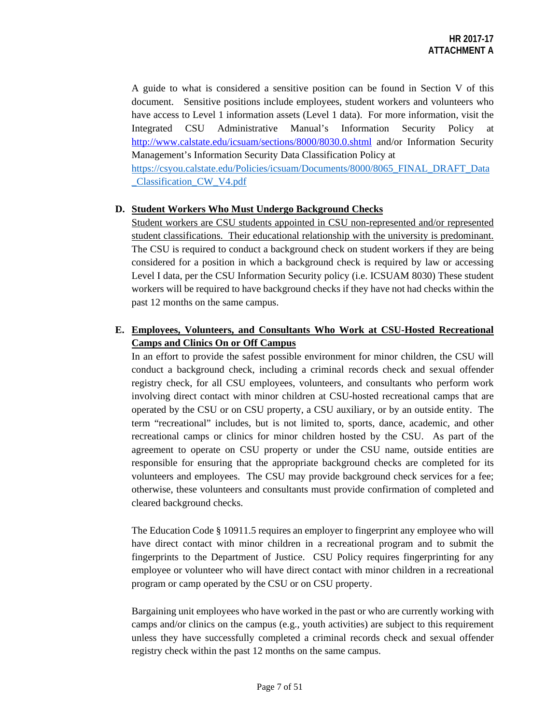A guide to what is considered a sensitive position can be found in Section V of this document. Sensitive positions include employees, student workers and volunteers who have access to Level 1 information assets (Level 1 data). For more information, visit the Integrated CSU Administrative Manual's Information Security Policy at <http://www.calstate.edu/icsuam/sections/8000/8030.0.shtml> and/or Information Security Management's Information Security Data Classification Policy at [https://csyou.calstate.edu/Policies/icsuam/Documents/8000/8065\\_FINAL\\_DRAFT\\_Data](https://csyou.calstate.edu/Policies/icsuam/Documents/8000/8065_FINAL_DRAFT_Data_Classification_CW_V4.pdf)

[\\_Classification\\_CW\\_V4.pdf](https://csyou.calstate.edu/Policies/icsuam/Documents/8000/8065_FINAL_DRAFT_Data_Classification_CW_V4.pdf)

#### **D. Student Workers Who Must Undergo Background Checks**

Student workers are CSU students appointed in CSU non-represented and/or represented student classifications. Their educational relationship with the university is predominant. The CSU is required to conduct a background check on student workers if they are being considered for a position in which a background check is required by law or accessing Level I data, per the CSU Information Security policy (i.e. ICSUAM 8030) These student workers will be required to have background checks if they have not had checks within the past 12 months on the same campus.

#### **E. Employees, Volunteers, and Consultants Who Work at CSU-Hosted Recreational Camps and Clinics On or Off Campus**

In an effort to provide the safest possible environment for minor children, the CSU will conduct a background check, including a criminal records check and sexual offender registry check, for all CSU employees, volunteers, and consultants who perform work involving direct contact with minor children at CSU-hosted recreational camps that are operated by the CSU or on CSU property, a CSU auxiliary, or by an outside entity. The term "recreational" includes, but is not limited to, sports, dance, academic, and other recreational camps or clinics for minor children hosted by the CSU. As part of the agreement to operate on CSU property or under the CSU name, outside entities are responsible for ensuring that the appropriate background checks are completed for its volunteers and employees. The CSU may provide background check services for a fee; otherwise, these volunteers and consultants must provide confirmation of completed and cleared background checks.

The Education Code § 10911.5 requires an employer to fingerprint any employee who will have direct contact with minor children in a recreational program and to submit the fingerprints to the Department of Justice. CSU Policy requires fingerprinting for any employee or volunteer who will have direct contact with minor children in a recreational program or camp operated by the CSU or on CSU property.

Bargaining unit employees who have worked in the past or who are currently working with camps and/or clinics on the campus (e.g., youth activities) are subject to this requirement unless they have successfully completed a criminal records check and sexual offender registry check within the past 12 months on the same campus.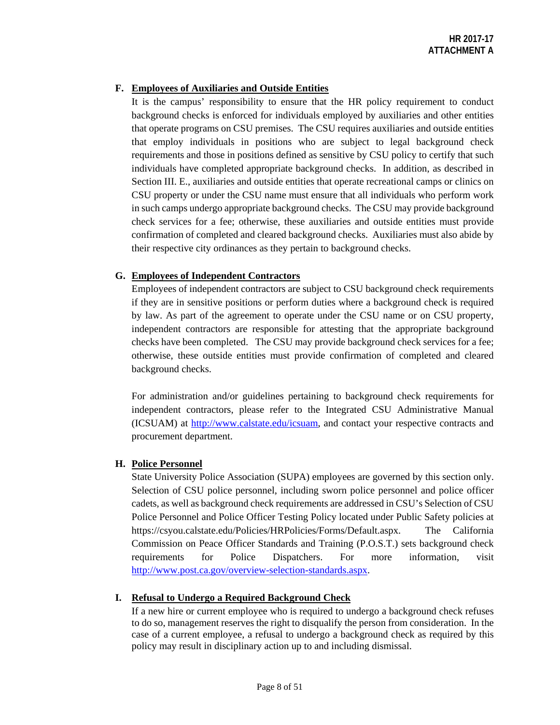#### **F. Employees of Auxiliaries and Outside Entities**

It is the campus' responsibility to ensure that the HR policy requirement to conduct background checks is enforced for individuals employed by auxiliaries and other entities that operate programs on CSU premises. The CSU requires auxiliaries and outside entities that employ individuals in positions who are subject to legal background check requirements and those in positions defined as sensitive by CSU policy to certify that such individuals have completed appropriate background checks. In addition, as described in Section III. E., auxiliaries and outside entities that operate recreational camps or clinics on CSU property or under the CSU name must ensure that all individuals who perform work in such camps undergo appropriate background checks. The CSU may provide background check services for a fee; otherwise, these auxiliaries and outside entities must provide confirmation of completed and cleared background checks. Auxiliaries must also abide by their respective city ordinances as they pertain to background checks.

#### **G. Employees of Independent Contractors**

Employees of independent contractors are subject to CSU background check requirements if they are in sensitive positions or perform duties where a background check is required by law. As part of the agreement to operate under the CSU name or on CSU property, independent contractors are responsible for attesting that the appropriate background checks have been completed. The CSU may provide background check services for a fee; otherwise, these outside entities must provide confirmation of completed and cleared background checks.

For administration and/or guidelines pertaining to background check requirements for independent contractors, please refer to the Integrated CSU Administrative Manual (ICSUAM) at [http://www.calstate.edu/icsuam,](http://www.calstate.edu/icsuam) and contact your respective contracts and procurement department.

#### **H. Police Personnel**

State University Police Association (SUPA) employees are governed by this section only. Selection of CSU police personnel, including sworn police personnel and police officer cadets, as well as background check requirements are addressed in CSU's Selection of CSU Police Personnel and Police Officer Testing Policy located under Public Safety policies at https://csyou.calstate.edu/Policies/HRPolicies/Forms/Default.aspx. The California Commission on Peace Officer Standards and Training (P.O.S.T.) sets background check requirements for Police Dispatchers. For more information, visit [http://www.post.ca.gov/overview-selection-standards.aspx.](http://www.post.ca.gov/overview-selection-standards.aspx)

#### **I. Refusal to Undergo a Required Background Check**

If a new hire or current employee who is required to undergo a background check refuses to do so, management reserves the right to disqualify the person from consideration. In the case of a current employee, a refusal to undergo a background check as required by this policy may result in disciplinary action up to and including dismissal.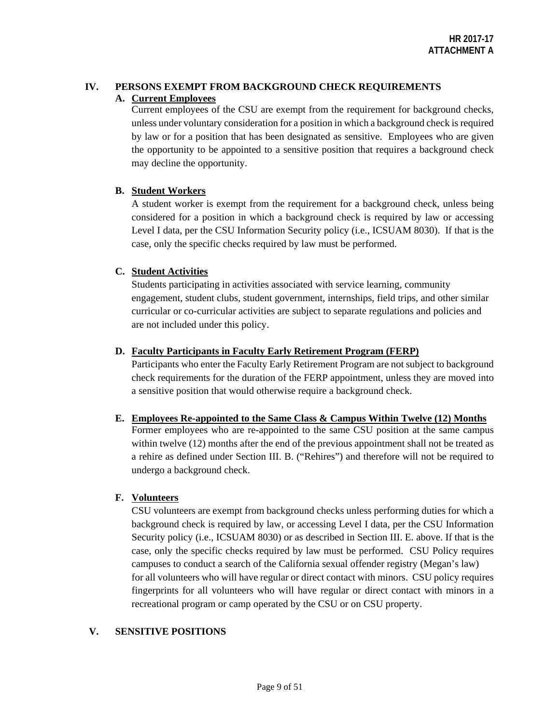#### **IV. PERSONS EXEMPT FROM BACKGROUND CHECK REQUIREMENTS**

#### **A. Current Employees**

Current employees of the CSU are exempt from the requirement for background checks, unless under voluntary consideration for a position in which a background check is required by law or for a position that has been designated as sensitive. Employees who are given the opportunity to be appointed to a sensitive position that requires a background check may decline the opportunity.

#### **B. Student Workers**

A student worker is exempt from the requirement for a background check, unless being considered for a position in which a background check is required by law or accessing Level I data, per the CSU Information Security policy (i.e., ICSUAM 8030). If that is the case, only the specific checks required by law must be performed.

#### **C. Student Activities**

Students participating in activities associated with service learning, community engagement, student clubs, student government, internships, field trips, and other similar curricular or co-curricular activities are subject to separate regulations and policies and are not included under this policy.

#### **D. Faculty Participants in Faculty Early Retirement Program (FERP)**

Participants who enter the Faculty Early Retirement Program are not subject to background check requirements for the duration of the FERP appointment, unless they are moved into a sensitive position that would otherwise require a background check.

#### **E. Employees Re-appointed to the Same Class & Campus Within Twelve (12) Months**

Former employees who are re-appointed to the same CSU position at the same campus within twelve (12) months after the end of the previous appointment shall not be treated as a rehire as defined under Section III. B. ("Rehires") and therefore will not be required to undergo a background check.

#### **F. Volunteers**

CSU volunteers are exempt from background checks unless performing duties for which a background check is required by law, or accessing Level I data, per the CSU Information Security policy (i.e., ICSUAM 8030) or as described in Section III. E. above. If that is the case, only the specific checks required by law must be performed. CSU Policy requires campuses to conduct a search of the California sexual offender registry (Megan's law) for all volunteers who will have regular or direct contact with minors. CSU policy requires fingerprints for all volunteers who will have regular or direct contact with minors in a recreational program or camp operated by the CSU or on CSU property.

#### **V. SENSITIVE POSITIONS**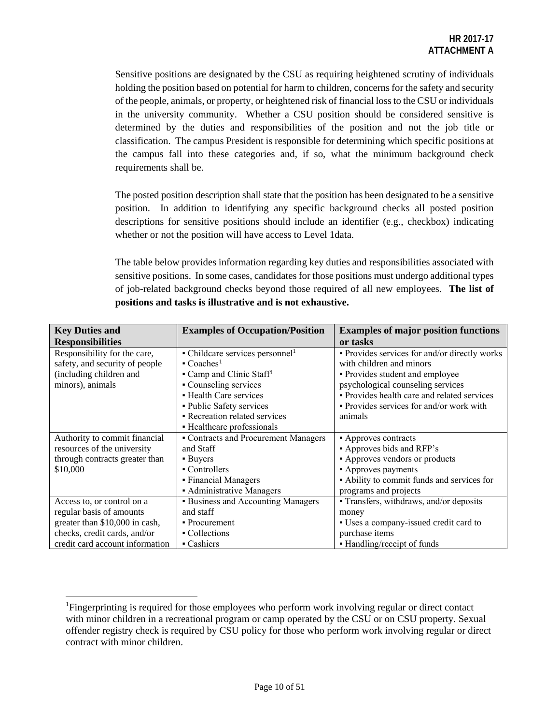Sensitive positions are designated by the CSU as requiring heightened scrutiny of individuals holding the position based on potential for harm to children, concerns for the safety and security of the people, animals, or property, or heightened risk of financial loss to the CSU or individuals in the university community. Whether a CSU position should be considered sensitive is determined by the duties and responsibilities of the position and not the job title or classification. The campus President is responsible for determining which specific positions at the campus fall into these categories and, if so, what the minimum background check requirements shall be.

The posted position description shall state that the position has been designated to be a sensitive position. In addition to identifying any specific background checks all posted position descriptions for sensitive positions should include an identifier (e.g., checkbox) indicating whether or not the position will have access to Level 1data.

The table below provides information regarding key duties and responsibilities associated with sensitive positions. In some cases, candidates for those positions must undergo additional types of job-related background checks beyond those required of all new employees. **The list of positions and tasks is illustrative and is not exhaustive.**

| <b>Key Duties and</b>           | <b>Examples of Occupation/Position</b>      | <b>Examples of major position functions</b>   |
|---------------------------------|---------------------------------------------|-----------------------------------------------|
| <b>Responsibilities</b>         |                                             | or tasks                                      |
| Responsibility for the care,    | • Childcare services personnel <sup>1</sup> | • Provides services for and/or directly works |
| safety, and security of people  | $\cdot$ Coaches <sup>1</sup>                | with children and minors                      |
| (including children and         | • Camp and Clinic Staff <sup>1</sup>        | · Provides student and employee               |
| minors), animals                | • Counseling services                       | psychological counseling services             |
|                                 | • Health Care services                      | · Provides health care and related services   |
|                                 | • Public Safety services                    | • Provides services for and/or work with      |
|                                 | - Recreation related services               | animals                                       |
|                                 | • Healthcare professionals                  |                                               |
| Authority to commit financial   | • Contracts and Procurement Managers        | • Approves contracts                          |
| resources of the university     | and Staff                                   | • Approves bids and RFP's                     |
| through contracts greater than  | • Buyers                                    | <b>Approves vendors or products</b>           |
| \$10,000                        | • Controllers                               | • Approves payments                           |
|                                 | • Financial Managers                        | • Ability to commit funds and services for    |
|                                 | • Administrative Managers                   | programs and projects                         |
| Access to, or control on a      | • Business and Accounting Managers          | • Transfers, withdraws, and/or deposits       |
| regular basis of amounts        | and staff                                   | money                                         |
| greater than \$10,000 in cash,  | • Procurement                               | • Uses a company-issued credit card to        |
| checks, credit cards, and/or    | • Collections                               | purchase items                                |
| credit card account information | $\blacksquare$ Cashiers                     | • Handling/receipt of funds                   |

 $\overline{\phantom{a}}$ 

<span id="page-11-0"></span><sup>&</sup>lt;sup>1</sup>Fingerprinting is required for those employees who perform work involving regular or direct contact with minor children in a recreational program or camp operated by the CSU or on CSU property. Sexual offender registry check is required by CSU policy for those who perform work involving regular or direct contract with minor children.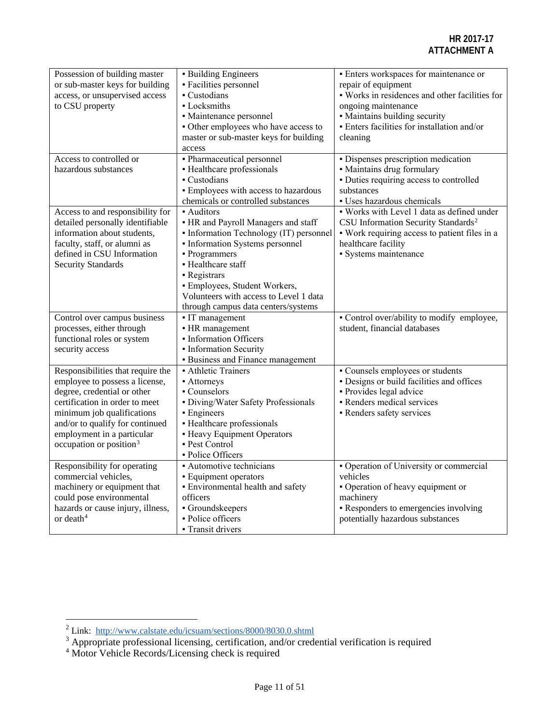| Possession of building master                           | <b>Building Engineers</b>                     | · Enters workspaces for maintenance or                                |
|---------------------------------------------------------|-----------------------------------------------|-----------------------------------------------------------------------|
| or sub-master keys for building                         | · Facilities personnel                        |                                                                       |
|                                                         | - Custodians                                  | repair of equipment<br>· Works in residences and other facilities for |
| access, or unsupervised access                          |                                               |                                                                       |
| to CSU property                                         | • Locksmiths                                  | ongoing maintenance                                                   |
|                                                         | · Maintenance personnel                       | · Maintains building security                                         |
|                                                         | • Other employees who have access to          | · Enters facilities for installation and/or                           |
|                                                         | master or sub-master keys for building        | cleaning                                                              |
|                                                         | access                                        |                                                                       |
| Access to controlled or                                 | · Pharmaceutical personnel                    | · Dispenses prescription medication                                   |
| hazardous substances                                    | • Healthcare professionals                    | · Maintains drug formulary                                            |
|                                                         | • Custodians                                  | · Duties requiring access to controlled                               |
|                                                         | · Employees with access to hazardous          | substances                                                            |
|                                                         | chemicals or controlled substances            | · Uses hazardous chemicals                                            |
| Access to and responsibility for                        | • Auditors                                    | . Works with Level 1 data as defined under                            |
| detailed personally identifiable                        | • HR and Payroll Managers and staff           | CSU Information Security Standards <sup>2</sup>                       |
| information about students,                             | • Information Technology (IT) personnel       | • Work requiring access to patient files in a                         |
| faculty, staff, or alumni as                            | · Information Systems personnel               | healthcare facility                                                   |
| defined in CSU Information                              | • Programmers                                 | · Systems maintenance                                                 |
| <b>Security Standards</b>                               | • Healthcare staff                            |                                                                       |
|                                                         | - Registrars                                  |                                                                       |
|                                                         | · Employees, Student Workers,                 |                                                                       |
|                                                         | Volunteers with access to Level 1 data        |                                                                       |
|                                                         | through campus data centers/systems           |                                                                       |
| Control over campus business                            | • IT management                               | • Control over/ability to modify employee,                            |
| processes, either through                               | • HR management                               | student, financial databases                                          |
| functional roles or system                              | • Information Officers                        |                                                                       |
| security access                                         | · Information Security                        |                                                                       |
|                                                         | <b>• Business and Finance management</b>      |                                                                       |
| Responsibilities that require the                       | <b>Athletic Trainers</b>                      | • Counsels employees or students                                      |
| employee to possess a license,                          | • Attorneys                                   | · Designs or build facilities and offices                             |
| degree, credential or other                             | • Counselors                                  | · Provides legal advice                                               |
| certification in order to meet                          | · Diving/Water Safety Professionals           | · Renders medical services                                            |
| minimum job qualifications                              | • Engineers                                   | • Renders safety services                                             |
| and/or to qualify for continued                         | • Healthcare professionals                    |                                                                       |
| employment in a particular                              | <b>- Heavy Equipment Operators</b>            |                                                                       |
| occupation or position <sup>3</sup>                     | - Pest Control                                |                                                                       |
|                                                         | · Police Officers                             |                                                                       |
| Responsibility for operating                            | · Automotive technicians                      | • Operation of University or commercial                               |
| commercial vehicles,                                    | • Equipment operators                         | vehicles                                                              |
|                                                         |                                               |                                                                       |
| machinery or equipment that<br>could pose environmental | • Environmental health and safety<br>officers | • Operation of heavy equipment or                                     |
|                                                         |                                               | machinery                                                             |
| hazards or cause injury, illness,                       | Groundskeepers                                | <b>-</b> Responders to emergencies involving                          |
| or death <sup>4</sup>                                   | · Police officers                             | potentially hazardous substances                                      |
|                                                         | • Transit drivers                             |                                                                       |

 $\overline{a}$ 

<span id="page-12-0"></span><sup>&</sup>lt;sup>2</sup> Link:<http://www.calstate.edu/icsuam/sections/8000/8030.0.shtml>

<span id="page-12-1"></span> $3$  Appropriate professional licensing, certification, and/or credential verification is required

<span id="page-12-2"></span><sup>&</sup>lt;sup>4</sup> Motor Vehicle Records/Licensing check is required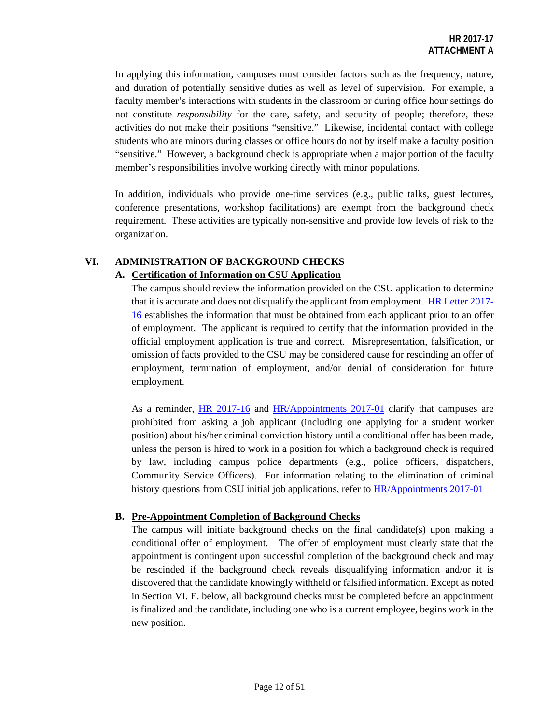In applying this information, campuses must consider factors such as the frequency, nature, and duration of potentially sensitive duties as well as level of supervision. For example, a faculty member's interactions with students in the classroom or during office hour settings do not constitute *responsibility* for the care, safety, and security of people; therefore, these activities do not make their positions "sensitive." Likewise, incidental contact with college students who are minors during classes or office hours do not by itself make a faculty position "sensitive." However, a background check is appropriate when a major portion of the faculty member's responsibilities involve working directly with minor populations.

In addition, individuals who provide one-time services (e.g., public talks, guest lectures, conference presentations, workshop facilitations) are exempt from the background check requirement. These activities are typically non-sensitive and provide low levels of risk to the organization.

#### **VI. ADMINISTRATION OF BACKGROUND CHECKS**

#### **A. Certification of Information on CSU Application**

The campus should review the information provided on the CSU application to determine that it is accurate and does not disqualify the applicant from employment. [HR Letter 2017-](https://csyou.calstate.edu/Policies/HRPolicies/HR2017-16.pdf) [16](https://csyou.calstate.edu/Policies/HRPolicies/HR2017-16.pdf) establishes the information that must be obtained from each applicant prior to an offer of employment. The applicant is required to certify that the information provided in the official employment application is true and correct. Misrepresentation, falsification, or omission of facts provided to the CSU may be considered cause for rescinding an offer of employment, termination of employment, and/or denial of consideration for future employment.

As a reminder, [HR 2017-16](https://csyou.calstate.edu/Policies/HRPolicies/HR2017-16.pdf) and [HR/Appointments 2017-01](https://csyou.calstate.edu/Policies/HRPolicies/TL-APPT2017-01.pdf) clarify that campuses are prohibited from asking a job applicant (including one applying for a student worker position) about his/her criminal conviction history until a conditional offer has been made, unless the person is hired to work in a position for which a background check is required by law, including campus police departments (e.g., police officers, dispatchers, Community Service Officers). For information relating to the elimination of criminal history questions from CSU initial job applications, refer to [HR/Appointments 2017-01](https://csyou.calstate.edu/Policies/HRPolicies/TL-APPT2017-01.pdf) 

#### **B. Pre-Appointment Completion of Background Checks**

The campus will initiate background checks on the final candidate(s) upon making a conditional offer of employment. The offer of employment must clearly state that the appointment is contingent upon successful completion of the background check and may be rescinded if the background check reveals disqualifying information and/or it is discovered that the candidate knowingly withheld or falsified information. Except as noted in Section VI. E. below, all background checks must be completed before an appointment is finalized and the candidate, including one who is a current employee, begins work in the new position.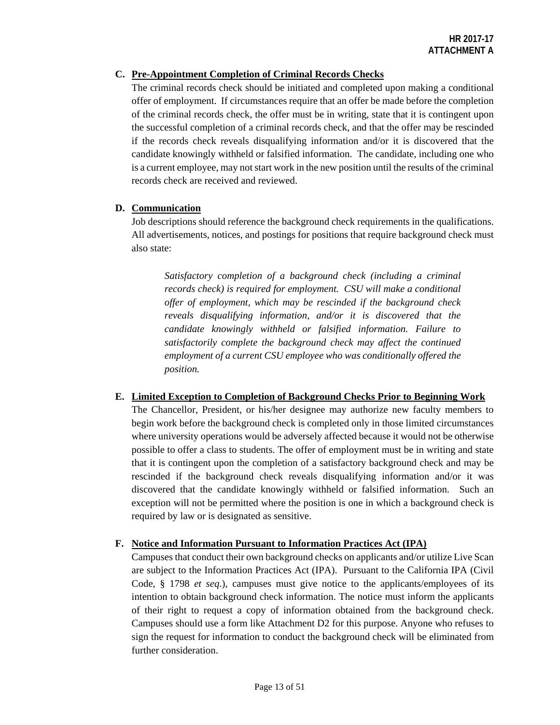#### **C. Pre-Appointment Completion of Criminal Records Checks**

The criminal records check should be initiated and completed upon making a conditional offer of employment. If circumstances require that an offer be made before the completion of the criminal records check, the offer must be in writing, state that it is contingent upon the successful completion of a criminal records check, and that the offer may be rescinded if the records check reveals disqualifying information and/or it is discovered that the candidate knowingly withheld or falsified information. The candidate, including one who is a current employee, may not start work in the new position until the results of the criminal records check are received and reviewed.

#### **D. Communication**

Job descriptions should reference the background check requirements in the qualifications. All advertisements, notices, and postings for positions that require background check must also state:

*Satisfactory completion of a background check (including a criminal records check) is required for employment. CSU will make a conditional offer of employment, which may be rescinded if the background check reveals disqualifying information, and/or it is discovered that the candidate knowingly withheld or falsified information. Failure to satisfactorily complete the background check may affect the continued employment of a current CSU employee who was conditionally offered the position.*

#### **E. Limited Exception to Completion of Background Checks Prior to Beginning Work**

The Chancellor, President, or his/her designee may authorize new faculty members to begin work before the background check is completed only in those limited circumstances where university operations would be adversely affected because it would not be otherwise possible to offer a class to students. The offer of employment must be in writing and state that it is contingent upon the completion of a satisfactory background check and may be rescinded if the background check reveals disqualifying information and/or it was discovered that the candidate knowingly withheld or falsified information. Such an exception will not be permitted where the position is one in which a background check is required by law or is designated as sensitive.

#### **F. Notice and Information Pursuant to Information Practices Act (IPA)**

Campuses that conduct their own background checks on applicants and/or utilize Live Scan are subject to the Information Practices Act (IPA). Pursuant to the California IPA (Civil Code, § 1798 *et seq*.), campuses must give notice to the applicants/employees of its intention to obtain background check information. The notice must inform the applicants of their right to request a copy of information obtained from the background check. Campuses should use a form like Attachment D2 for this purpose. Anyone who refuses to sign the request for information to conduct the background check will be eliminated from further consideration.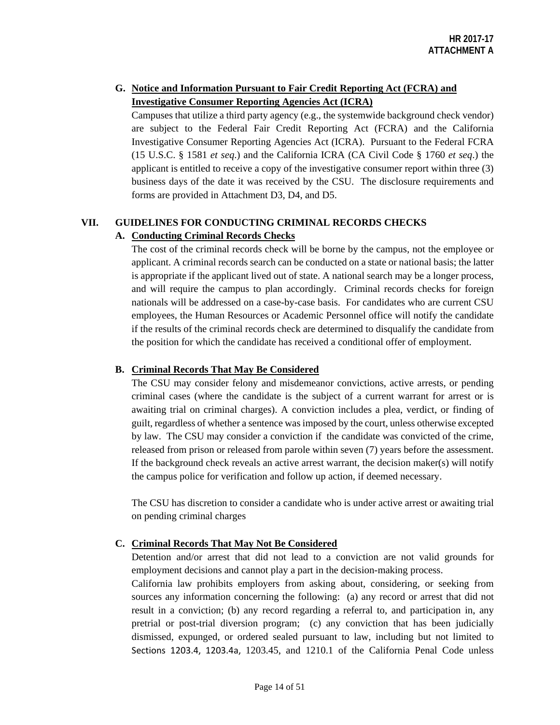#### **G. Notice and Information Pursuant to Fair Credit Reporting Act (FCRA) and Investigative Consumer Reporting Agencies Act (ICRA)**

Campuses that utilize a third party agency (e.g., the systemwide background check vendor) are subject to the Federal Fair Credit Reporting Act (FCRA) and the California Investigative Consumer Reporting Agencies Act (ICRA). Pursuant to the Federal FCRA (15 U.S.C. § 1581 *et seq*.) and the California ICRA (CA Civil Code § 1760 *et seq*.) the applicant is entitled to receive a copy of the investigative consumer report within three (3) business days of the date it was received by the CSU. The disclosure requirements and forms are provided in Attachment D3, D4, and D5.

#### **VII. GUIDELINES FOR CONDUCTING CRIMINAL RECORDS CHECKS**

#### **A. Conducting Criminal Records Checks**

The cost of the criminal records check will be borne by the campus, not the employee or applicant. A criminal records search can be conducted on a state or national basis; the latter is appropriate if the applicant lived out of state. A national search may be a longer process, and will require the campus to plan accordingly. Criminal records checks for foreign nationals will be addressed on a case-by-case basis. For candidates who are current CSU employees, the Human Resources or Academic Personnel office will notify the candidate if the results of the criminal records check are determined to disqualify the candidate from the position for which the candidate has received a conditional offer of employment.

#### **B. Criminal Records That May Be Considered**

The CSU may consider felony and misdemeanor convictions, active arrests, or pending criminal cases (where the candidate is the subject of a current warrant for arrest or is awaiting trial on criminal charges). A conviction includes a plea, verdict, or finding of guilt, regardless of whether a sentence was imposed by the court, unless otherwise excepted by law. The CSU may consider a conviction if the candidate was convicted of the crime, released from prison or released from parole within seven (7) years before the assessment. If the background check reveals an active arrest warrant, the decision maker(s) will notify the campus police for verification and follow up action, if deemed necessary.

The CSU has discretion to consider a candidate who is under active arrest or awaiting trial on pending criminal charges

#### **C. Criminal Records That May Not Be Considered**

Detention and/or arrest that did not lead to a conviction are not valid grounds for employment decisions and cannot play a part in the decision-making process.

California law prohibits employers from asking about, considering, or seeking from sources any information concerning the following: (a) any record or arrest that did not result in a conviction; (b) any record regarding a referral to, and participation in, any pretrial or post-trial diversion program; (c) any conviction that has been judicially dismissed, expunged, or ordered sealed pursuant to law, including but not limited to Sections 1203.4, 1203.4a, 1203.45, and 1210.1 of the California Penal Code unless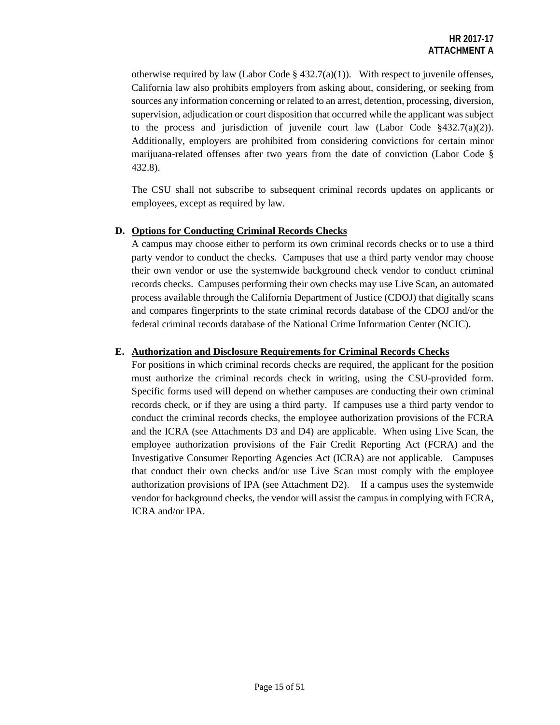otherwise required by law (Labor Code  $\S$  432.7(a)(1)). With respect to juvenile offenses, California law also prohibits employers from asking about, considering, or seeking from sources any information concerning or related to an arrest, detention, processing, diversion, supervision, adjudication or court disposition that occurred while the applicant was subject to the process and jurisdiction of juvenile court law (Labor Code  $\S 432.7(a)(2)$ ). Additionally, employers are prohibited from considering convictions for certain minor marijuana-related offenses after two years from the date of conviction (Labor Code § 432.8).

The CSU shall not subscribe to subsequent criminal records updates on applicants or employees, except as required by law.

#### **D. Options for Conducting Criminal Records Checks**

A campus may choose either to perform its own criminal records checks or to use a third party vendor to conduct the checks. Campuses that use a third party vendor may choose their own vendor or use the systemwide background check vendor to conduct criminal records checks. Campuses performing their own checks may use Live Scan, an automated process available through the California Department of Justice (CDOJ) that digitally scans and compares fingerprints to the state criminal records database of the CDOJ and/or the federal criminal records database of the National Crime Information Center (NCIC).

#### **E. Authorization and Disclosure Requirements for Criminal Records Checks**

For positions in which criminal records checks are required, the applicant for the position must authorize the criminal records check in writing, using the CSU-provided form. Specific forms used will depend on whether campuses are conducting their own criminal records check, or if they are using a third party. If campuses use a third party vendor to conduct the criminal records checks, the employee authorization provisions of the FCRA and the ICRA (see Attachments D3 and D4) are applicable. When using Live Scan, the employee authorization provisions of the Fair Credit Reporting Act (FCRA) and the Investigative Consumer Reporting Agencies Act (ICRA) are not applicable. Campuses that conduct their own checks and/or use Live Scan must comply with the employee authorization provisions of IPA (see Attachment D2). If a campus uses the systemwide vendor for background checks, the vendor will assist the campus in complying with FCRA, ICRA and/or IPA.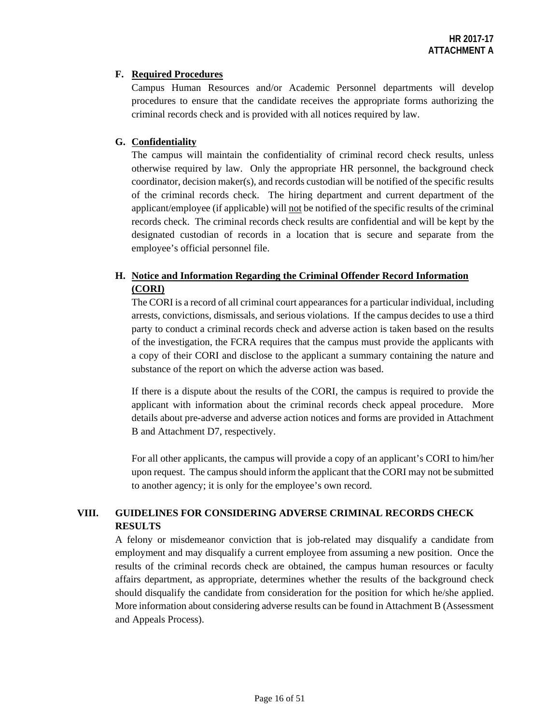#### **F. Required Procedures**

Campus Human Resources and/or Academic Personnel departments will develop procedures to ensure that the candidate receives the appropriate forms authorizing the criminal records check and is provided with all notices required by law.

#### **G. Confidentiality**

The campus will maintain the confidentiality of criminal record check results, unless otherwise required by law. Only the appropriate HR personnel, the background check coordinator, decision maker(s), and records custodian will be notified of the specific results of the criminal records check. The hiring department and current department of the applicant/employee (if applicable) will not be notified of the specific results of the criminal records check. The criminal records check results are confidential and will be kept by the designated custodian of records in a location that is secure and separate from the employee's official personnel file.

#### **H. Notice and Information Regarding the Criminal Offender Record Information (CORI)**

The CORI is a record of all criminal court appearances for a particular individual, including arrests, convictions, dismissals, and serious violations. If the campus decides to use a third party to conduct a criminal records check and adverse action is taken based on the results of the investigation, the FCRA requires that the campus must provide the applicants with a copy of their CORI and disclose to the applicant a summary containing the nature and substance of the report on which the adverse action was based.

If there is a dispute about the results of the CORI, the campus is required to provide the applicant with information about the criminal records check appeal procedure. More details about pre-adverse and adverse action notices and forms are provided in Attachment B and Attachment D7, respectively.

For all other applicants, the campus will provide a copy of an applicant's CORI to him/her upon request. The campus should inform the applicant that the CORI may not be submitted to another agency; it is only for the employee's own record.

#### **VIII. GUIDELINES FOR CONSIDERING ADVERSE CRIMINAL RECORDS CHECK RESULTS**

A felony or misdemeanor conviction that is job-related may disqualify a candidate from employment and may disqualify a current employee from assuming a new position. Once the results of the criminal records check are obtained, the campus human resources or faculty affairs department, as appropriate, determines whether the results of the background check should disqualify the candidate from consideration for the position for which he/she applied. More information about considering adverse results can be found in Attachment B (Assessment and Appeals Process).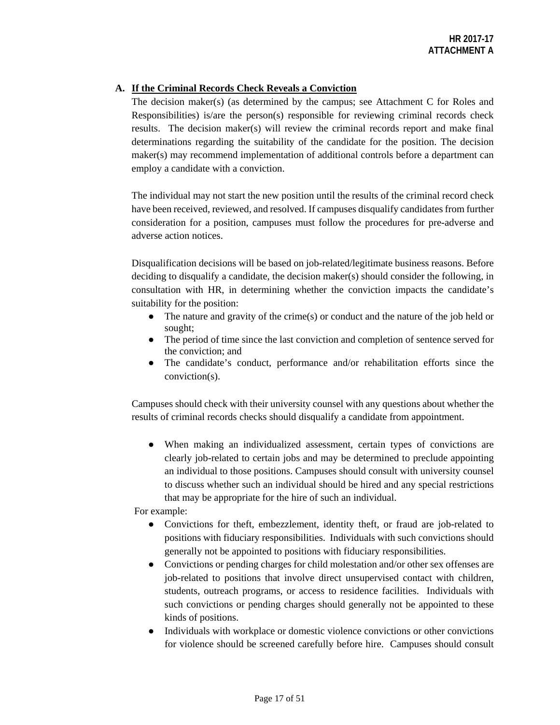#### **A. If the Criminal Records Check Reveals a Conviction**

The decision maker(s) (as determined by the campus; see Attachment C for Roles and Responsibilities) is/are the person(s) responsible for reviewing criminal records check results. The decision maker(s) will review the criminal records report and make final determinations regarding the suitability of the candidate for the position. The decision maker(s) may recommend implementation of additional controls before a department can employ a candidate with a conviction.

The individual may not start the new position until the results of the criminal record check have been received, reviewed, and resolved. If campuses disqualify candidates from further consideration for a position, campuses must follow the procedures for pre-adverse and adverse action notices.

Disqualification decisions will be based on job-related/legitimate business reasons. Before deciding to disqualify a candidate, the decision maker(s) should consider the following, in consultation with HR, in determining whether the conviction impacts the candidate's suitability for the position:

- The nature and gravity of the crime(s) or conduct and the nature of the job held or sought;
- The period of time since the last conviction and completion of sentence served for the conviction; and
- The candidate's conduct, performance and/or rehabilitation efforts since the conviction(s).

Campuses should check with their university counsel with any questions about whether the results of criminal records checks should disqualify a candidate from appointment.

• When making an individualized assessment, certain types of convictions are clearly job-related to certain jobs and may be determined to preclude appointing an individual to those positions. Campuses should consult with university counsel to discuss whether such an individual should be hired and any special restrictions that may be appropriate for the hire of such an individual.

For example:

- Convictions for theft, embezzlement, identity theft, or fraud are job-related to positions with fiduciary responsibilities. Individuals with such convictions should generally not be appointed to positions with fiduciary responsibilities.
- Convictions or pending charges for child molestation and/or other sex offenses are job-related to positions that involve direct unsupervised contact with children, students, outreach programs, or access to residence facilities. Individuals with such convictions or pending charges should generally not be appointed to these kinds of positions.
- Individuals with workplace or domestic violence convictions or other convictions for violence should be screened carefully before hire. Campuses should consult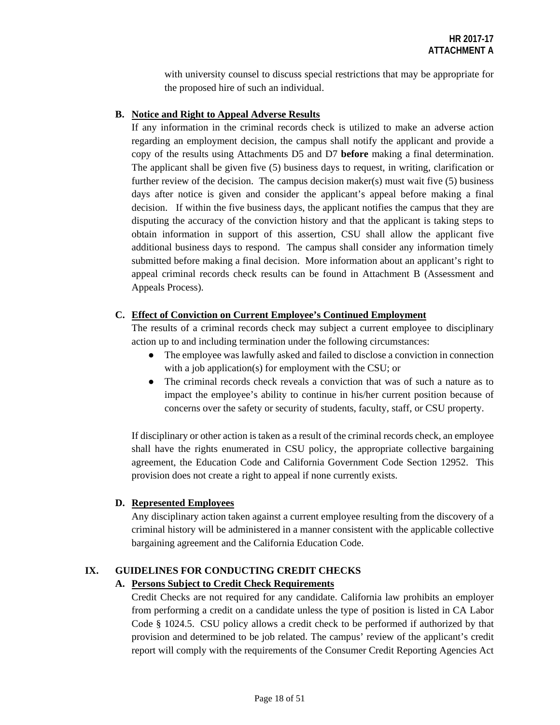with university counsel to discuss special restrictions that may be appropriate for the proposed hire of such an individual.

#### **B. Notice and Right to Appeal Adverse Results**

If any information in the criminal records check is utilized to make an adverse action regarding an employment decision, the campus shall notify the applicant and provide a copy of the results using Attachments D5 and D7 **before** making a final determination. The applicant shall be given five (5) business days to request, in writing, clarification or further review of the decision. The campus decision maker(s) must wait five  $(5)$  business days after notice is given and consider the applicant's appeal before making a final decision. If within the five business days, the applicant notifies the campus that they are disputing the accuracy of the conviction history and that the applicant is taking steps to obtain information in support of this assertion, CSU shall allow the applicant five additional business days to respond. The campus shall consider any information timely submitted before making a final decision. More information about an applicant's right to appeal criminal records check results can be found in Attachment B (Assessment and Appeals Process).

#### **C. Effect of Conviction on Current Employee's Continued Employment**

The results of a criminal records check may subject a current employee to disciplinary action up to and including termination under the following circumstances:

- The employee was lawfully asked and failed to disclose a conviction in connection with a job application(s) for employment with the CSU; or
- The criminal records check reveals a conviction that was of such a nature as to impact the employee's ability to continue in his/her current position because of concerns over the safety or security of students, faculty, staff, or CSU property.

If disciplinary or other action is taken as a result of the criminal records check, an employee shall have the rights enumerated in CSU policy, the appropriate collective bargaining agreement, the Education Code and California Government Code Section 12952. This provision does not create a right to appeal if none currently exists.

#### **D. Represented Employees**

Any disciplinary action taken against a current employee resulting from the discovery of a criminal history will be administered in a manner consistent with the applicable collective bargaining agreement and the California Education Code.

#### **IX. GUIDELINES FOR CONDUCTING CREDIT CHECKS**

#### **A. Persons Subject to Credit Check Requirements**

Credit Checks are not required for any candidate. California law prohibits an employer from performing a credit on a candidate unless the type of position is listed in CA Labor Code § 1024.5. CSU policy allows a credit check to be performed if authorized by that provision and determined to be job related. The campus' review of the applicant's credit report will comply with the requirements of the Consumer Credit Reporting Agencies Act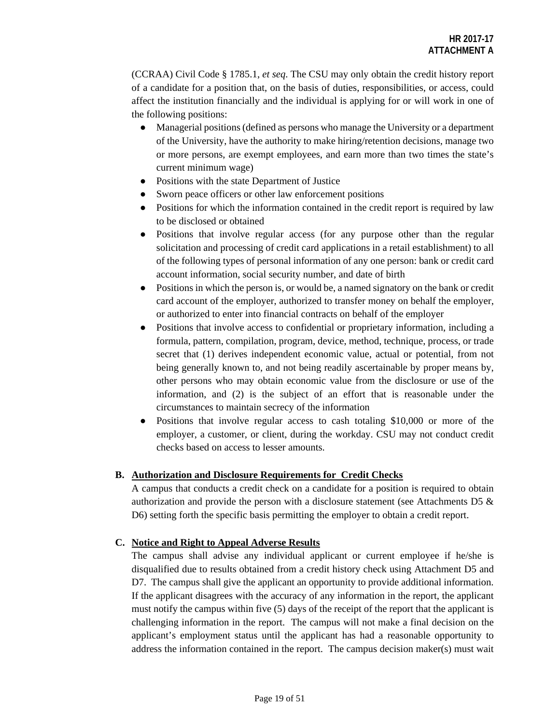(CCRAA) Civil Code § 1785.1, *et seq*. The CSU may only obtain the credit history report of a candidate for a position that, on the basis of duties, responsibilities, or access, could affect the institution financially and the individual is applying for or will work in one of the following positions:

- Managerial positions (defined as persons who manage the University or a department of the University, have the authority to make hiring/retention decisions, manage two or more persons, are exempt employees, and earn more than two times the state's current minimum wage)
- Positions with the state Department of Justice
- Sworn peace officers or other law enforcement positions
- Positions for which the information contained in the credit report is required by law to be disclosed or obtained
- Positions that involve regular access (for any purpose other than the regular solicitation and processing of credit card applications in a retail establishment) to all of the following types of personal information of any one person: bank or credit card account information, social security number, and date of birth
- Positions in which the person is, or would be, a named signatory on the bank or credit card account of the employer, authorized to transfer money on behalf the employer, or authorized to enter into financial contracts on behalf of the employer
- Positions that involve access to confidential or proprietary information, including a formula, pattern, compilation, program, device, method, technique, process, or trade secret that (1) derives independent economic value, actual or potential, from not being generally known to, and not being readily ascertainable by proper means by, other persons who may obtain economic value from the disclosure or use of the information, and (2) is the subject of an effort that is reasonable under the circumstances to maintain secrecy of the information
- Positions that involve regular access to cash totaling \$10,000 or more of the employer, a customer, or client, during the workday. CSU may not conduct credit checks based on access to lesser amounts.

#### **B. Authorization and Disclosure Requirements for Credit Checks**

A campus that conducts a credit check on a candidate for a position is required to obtain authorization and provide the person with a disclosure statement (see Attachments D5  $\&$ D6) setting forth the specific basis permitting the employer to obtain a credit report.

#### **C. Notice and Right to Appeal Adverse Results**

The campus shall advise any individual applicant or current employee if he/she is disqualified due to results obtained from a credit history check using Attachment D5 and D7. The campus shall give the applicant an opportunity to provide additional information. If the applicant disagrees with the accuracy of any information in the report, the applicant must notify the campus within five (5) days of the receipt of the report that the applicant is challenging information in the report. The campus will not make a final decision on the applicant's employment status until the applicant has had a reasonable opportunity to address the information contained in the report. The campus decision maker(s) must wait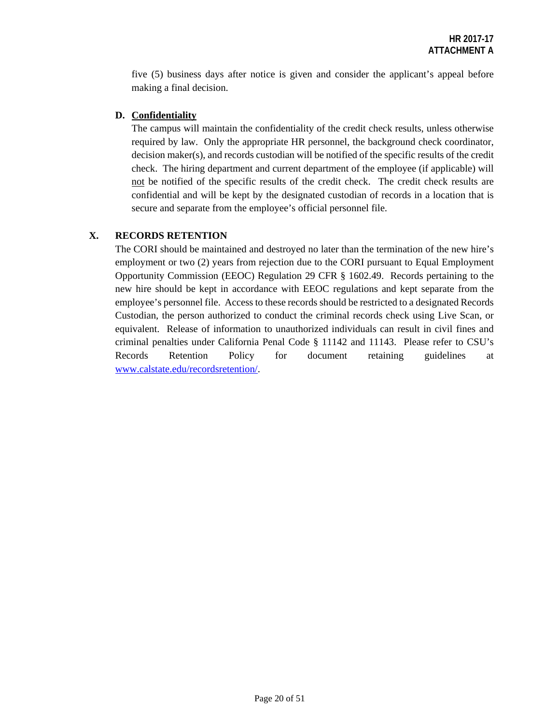five (5) business days after notice is given and consider the applicant's appeal before making a final decision.

#### **D. Confidentiality**

The campus will maintain the confidentiality of the credit check results, unless otherwise required by law. Only the appropriate HR personnel, the background check coordinator, decision maker(s), and records custodian will be notified of the specific results of the credit check. The hiring department and current department of the employee (if applicable) will not be notified of the specific results of the credit check. The credit check results are confidential and will be kept by the designated custodian of records in a location that is secure and separate from the employee's official personnel file.

#### **X. RECORDS RETENTION**

The CORI should be maintained and destroyed no later than the termination of the new hire's employment or two (2) years from rejection due to the CORI pursuant to Equal Employment Opportunity Commission (EEOC) Regulation 29 CFR § 1602.49. Records pertaining to the new hire should be kept in accordance with EEOC regulations and kept separate from the employee's personnel file. Access to these records should be restricted to a designated Records Custodian, the person authorized to conduct the criminal records check using Live Scan, or equivalent. Release of information to unauthorized individuals can result in civil fines and criminal penalties under California Penal Code § 11142 and 11143. Please refer to CSU's Records Retention Policy for document retaining guidelines at [www.calstate.edu/recordsretention/.](http://www.calstate.edu/recordsretention/)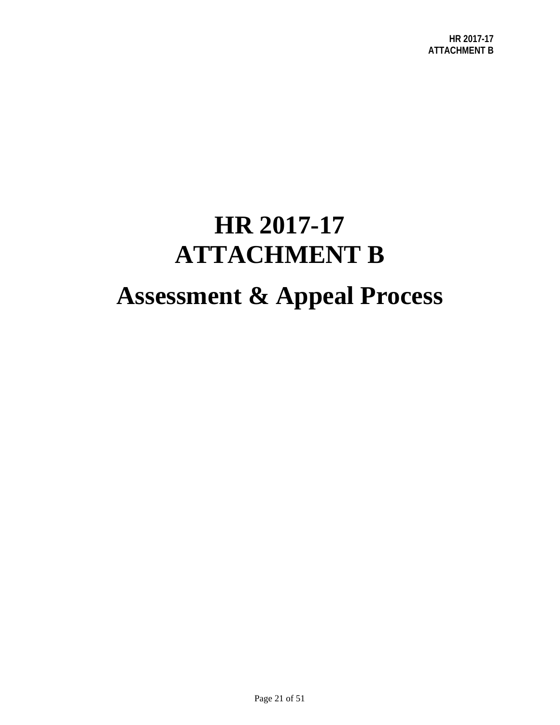# **HR 2017-17 ATTACHMENT B Assessment & Appeal Process**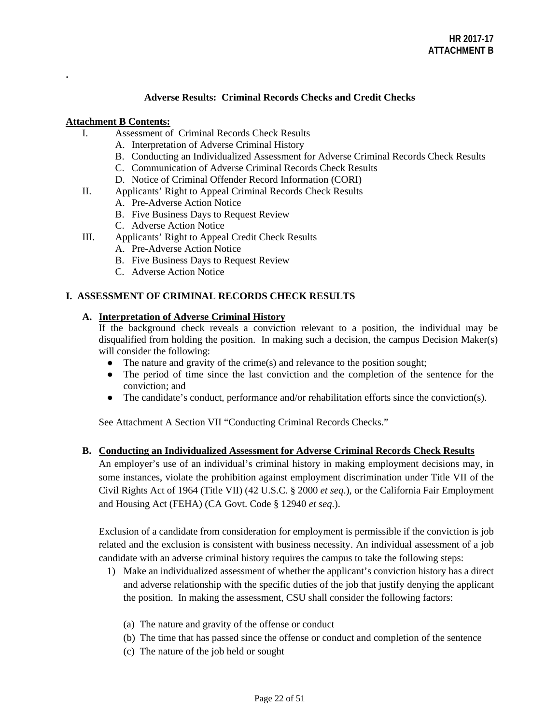#### **Adverse Results: Criminal Records Checks and Credit Checks**

#### **Attachment B Contents:**

**.**

- I. Assessment of Criminal Records Check Results
	- A. Interpretation of Adverse Criminal History
		- B. Conducting an Individualized Assessment for Adverse Criminal Records Check Results
		- C. Communication of Adverse Criminal Records Check Results
	- D. Notice of Criminal Offender Record Information (CORI)
- II. Applicants' Right to Appeal Criminal Records Check Results
	- A. Pre-Adverse Action Notice
	- B. Five Business Days to Request Review
	- C. Adverse Action Notice
- III. Applicants' Right to Appeal Credit Check Results
	- A. Pre-Adverse Action Notice
	- B. Five Business Days to Request Review
	- C. Adverse Action Notice

#### **I. ASSESSMENT OF CRIMINAL RECORDS CHECK RESULTS**

#### **A. Interpretation of Adverse Criminal History**

If the background check reveals a conviction relevant to a position, the individual may be disqualified from holding the position. In making such a decision, the campus Decision Maker(s) will consider the following:

- The nature and gravity of the crime(s) and relevance to the position sought;
- The period of time since the last conviction and the completion of the sentence for the conviction; and
- The candidate's conduct, performance and/or rehabilitation efforts since the conviction(s).

See Attachment A Section VII "Conducting Criminal Records Checks."

#### **B. Conducting an Individualized Assessment for Adverse Criminal Records Check Results**

An employer's use of an individual's criminal history in making employment decisions may, in some instances, violate the prohibition against employment discrimination under Title VII of the Civil Rights Act of 1964 (Title VII) (42 U.S.C. § 2000 *et seq*.), or the California Fair Employment and Housing Act (FEHA) (CA Govt. Code § 12940 *et seq*.).

Exclusion of a candidate from consideration for employment is permissible if the conviction is job related and the exclusion is consistent with business necessity. An individual assessment of a job candidate with an adverse criminal history requires the campus to take the following steps:

- 1) Make an individualized assessment of whether the applicant's conviction history has a direct and adverse relationship with the specific duties of the job that justify denying the applicant the position. In making the assessment, CSU shall consider the following factors:
	- (a) The nature and gravity of the offense or conduct
	- (b) The time that has passed since the offense or conduct and completion of the sentence
	- (c) The nature of the job held or sought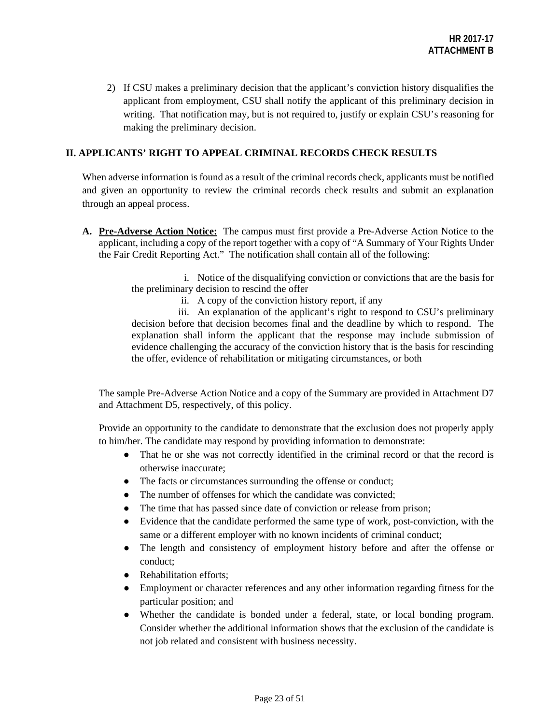2) If CSU makes a preliminary decision that the applicant's conviction history disqualifies the applicant from employment, CSU shall notify the applicant of this preliminary decision in writing. That notification may, but is not required to, justify or explain CSU's reasoning for making the preliminary decision.

#### **II. APPLICANTS' RIGHT TO APPEAL CRIMINAL RECORDS CHECK RESULTS**

When adverse information is found as a result of the criminal records check, applicants must be notified and given an opportunity to review the criminal records check results and submit an explanation through an appeal process.

- **A. Pre-Adverse Action Notice:** The campus must first provide a Pre-Adverse Action Notice to the applicant, including a copy of the report together with a copy of "A Summary of Your Rights Under the Fair Credit Reporting Act." The notification shall contain all of the following:
	- i. Notice of the disqualifying conviction or convictions that are the basis for the preliminary decision to rescind the offer
		- ii. A copy of the conviction history report, if any

iii. An explanation of the applicant's right to respond to CSU's preliminary decision before that decision becomes final and the deadline by which to respond. The explanation shall inform the applicant that the response may include submission of evidence challenging the accuracy of the conviction history that is the basis for rescinding the offer, evidence of rehabilitation or mitigating circumstances, or both

The sample Pre-Adverse Action Notice and a copy of the Summary are provided in Attachment D7 and Attachment D5, respectively, of this policy.

Provide an opportunity to the candidate to demonstrate that the exclusion does not properly apply to him/her. The candidate may respond by providing information to demonstrate:

- That he or she was not correctly identified in the criminal record or that the record is otherwise inaccurate;
- The facts or circumstances surrounding the offense or conduct;
- The number of offenses for which the candidate was convicted;
- The time that has passed since date of conviction or release from prison;
- Evidence that the candidate performed the same type of work, post-conviction, with the same or a different employer with no known incidents of criminal conduct;
- The length and consistency of employment history before and after the offense or conduct;
- Rehabilitation efforts;
- Employment or character references and any other information regarding fitness for the particular position; and
- Whether the candidate is bonded under a federal, state, or local bonding program. Consider whether the additional information shows that the exclusion of the candidate is not job related and consistent with business necessity.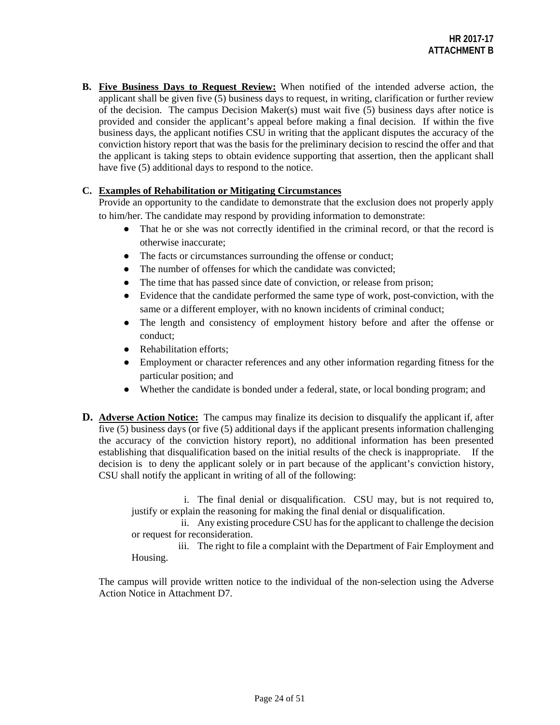**B. Five Business Days to Request Review:** When notified of the intended adverse action, the applicant shall be given five (5) business days to request, in writing, clarification or further review of the decision. The campus Decision Maker(s) must wait five (5) business days after notice is provided and consider the applicant's appeal before making a final decision. If within the five business days, the applicant notifies CSU in writing that the applicant disputes the accuracy of the conviction history report that was the basis for the preliminary decision to rescind the offer and that the applicant is taking steps to obtain evidence supporting that assertion, then the applicant shall have five (5) additional days to respond to the notice.

#### **C. Examples of Rehabilitation or Mitigating Circumstances**

Provide an opportunity to the candidate to demonstrate that the exclusion does not properly apply to him/her. The candidate may respond by providing information to demonstrate:

- That he or she was not correctly identified in the criminal record, or that the record is otherwise inaccurate;
- The facts or circumstances surrounding the offense or conduct;
- The number of offenses for which the candidate was convicted;
- The time that has passed since date of conviction, or release from prison;
- Evidence that the candidate performed the same type of work, post-conviction, with the same or a different employer, with no known incidents of criminal conduct;
- The length and consistency of employment history before and after the offense or conduct;
- Rehabilitation efforts:
- Employment or character references and any other information regarding fitness for the particular position; and
- Whether the candidate is bonded under a federal, state, or local bonding program; and
- **D. Adverse Action Notice:** The campus may finalize its decision to disqualify the applicant if, after five (5) business days (or five (5) additional days if the applicant presents information challenging the accuracy of the conviction history report), no additional information has been presented establishing that disqualification based on the initial results of the check is inappropriate. If the decision is to deny the applicant solely or in part because of the applicant's conviction history, CSU shall notify the applicant in writing of all of the following:

i. The final denial or disqualification. CSU may, but is not required to, justify or explain the reasoning for making the final denial or disqualification.

ii. Any existing procedure CSU has for the applicant to challenge the decision or request for reconsideration.

iii. The right to file a complaint with the Department of Fair Employment and Housing.

The campus will provide written notice to the individual of the non-selection using the Adverse Action Notice in Attachment D7.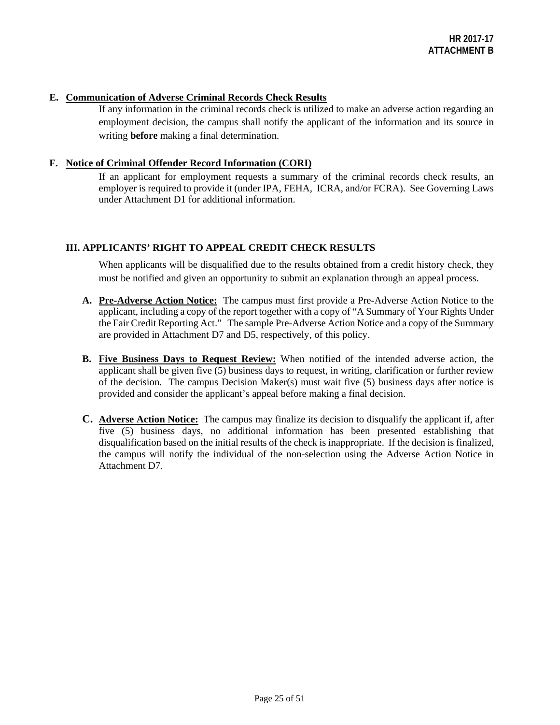#### **E. Communication of Adverse Criminal Records Check Results**

If any information in the criminal records check is utilized to make an adverse action regarding an employment decision, the campus shall notify the applicant of the information and its source in writing **before** making a final determination.

#### **F. Notice of Criminal Offender Record Information (CORI)**

If an applicant for employment requests a summary of the criminal records check results, an employer is required to provide it (under IPA, FEHA, ICRA, and/or FCRA). See Governing Laws under Attachment D1 for additional information.

#### **III. APPLICANTS' RIGHT TO APPEAL CREDIT CHECK RESULTS**

When applicants will be disqualified due to the results obtained from a credit history check, they must be notified and given an opportunity to submit an explanation through an appeal process.

- **A. Pre-Adverse Action Notice:** The campus must first provide a Pre-Adverse Action Notice to the applicant, including a copy of the report together with a copy of "A Summary of Your Rights Under the Fair Credit Reporting Act." The sample Pre-Adverse Action Notice and a copy of the Summary are provided in Attachment D7 and D5, respectively, of this policy.
- **B. Five Business Days to Request Review:** When notified of the intended adverse action, the applicant shall be given five (5) business days to request, in writing, clarification or further review of the decision. The campus Decision Maker(s) must wait five (5) business days after notice is provided and consider the applicant's appeal before making a final decision.
- **C. Adverse Action Notice:** The campus may finalize its decision to disqualify the applicant if, after five (5) business days, no additional information has been presented establishing that disqualification based on the initial results of the check is inappropriate. If the decision is finalized, the campus will notify the individual of the non-selection using the Adverse Action Notice in Attachment D7.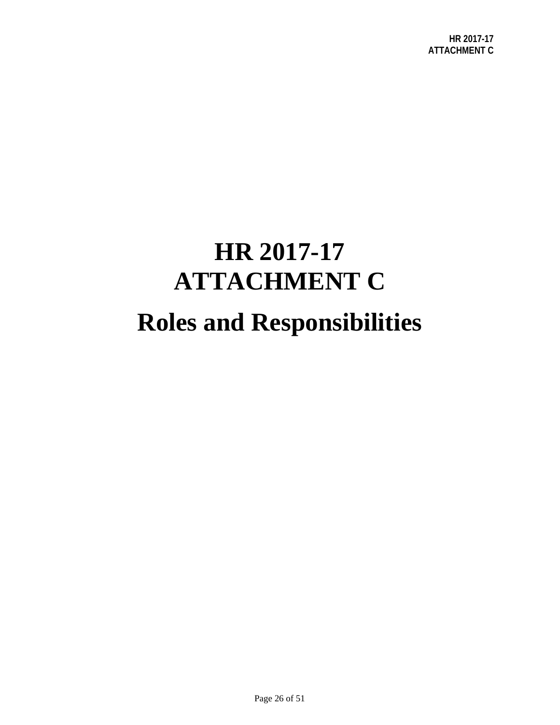# **HR 2017-17 ATTACHMENT C Roles and Responsibilities**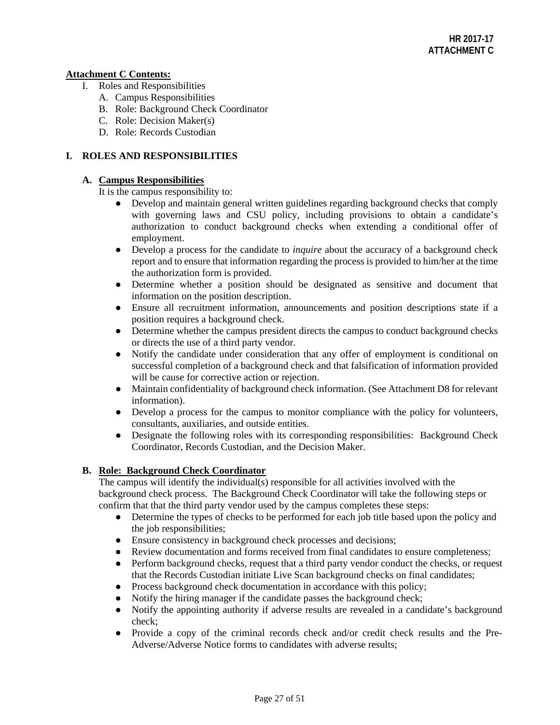#### **Attachment C Contents:**

- I. Roles and Responsibilities
	- A. Campus Responsibilities
	- B. Role: Background Check Coordinator
	- C. Role: Decision Maker(s)
	- D. Role: Records Custodian

#### **I. ROLES AND RESPONSIBILITIES**

#### **A. Campus Responsibilities**

- It is the campus responsibility to:
	- Develop and maintain general written guidelines regarding background checks that comply with governing laws and CSU policy, including provisions to obtain a candidate's authorization to conduct background checks when extending a conditional offer of employment.
	- Develop a process for the candidate to *inquire* about the accuracy of a background check report and to ensure that information regarding the process is provided to him/her at the time the authorization form is provided.
	- Determine whether a position should be designated as sensitive and document that information on the position description.
	- Ensure all recruitment information, announcements and position descriptions state if a position requires a background check.
	- Determine whether the campus president directs the campus to conduct background checks or directs the use of a third party vendor.
	- Notify the candidate under consideration that any offer of employment is conditional on successful completion of a background check and that falsification of information provided will be cause for corrective action or rejection.
	- Maintain confidentiality of background check information. (See Attachment D8 for relevant information).
	- Develop a process for the campus to monitor compliance with the policy for volunteers, consultants, auxiliaries, and outside entities.
	- Designate the following roles with its corresponding responsibilities: Background Check Coordinator, Records Custodian, and the Decision Maker.

#### **B. Role: Background Check Coordinator**

The campus will identify the individual(s) responsible for all activities involved with the background check process. The Background Check Coordinator will take the following steps or confirm that that the third party vendor used by the campus completes these steps:

- Determine the types of checks to be performed for each job title based upon the policy and the job responsibilities;
- Ensure consistency in background check processes and decisions;
- Review documentation and forms received from final candidates to ensure completeness;
- Perform background checks, request that a third party vendor conduct the checks, or request that the Records Custodian initiate Live Scan background checks on final candidates;
- Process background check documentation in accordance with this policy;
- Notify the hiring manager if the candidate passes the background check;
- Notify the appointing authority if adverse results are revealed in a candidate's background check;
- Provide a copy of the criminal records check and/or credit check results and the Pre-Adverse/Adverse Notice forms to candidates with adverse results;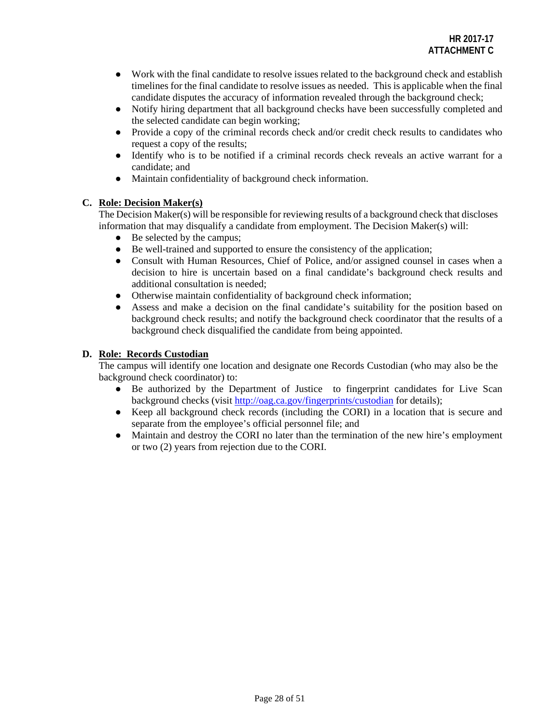- Work with the final candidate to resolve issues related to the background check and establish timelines for the final candidate to resolve issues as needed. This is applicable when the final candidate disputes the accuracy of information revealed through the background check;
- Notify hiring department that all background checks have been successfully completed and the selected candidate can begin working;
- Provide a copy of the criminal records check and/or credit check results to candidates who request a copy of the results;
- Identify who is to be notified if a criminal records check reveals an active warrant for a candidate; and
- Maintain confidentiality of background check information.

#### **C. Role: Decision Maker(s)**

The Decision Maker(s) will be responsible for reviewing results of a background check that discloses information that may disqualify a candidate from employment. The Decision Maker(s) will:

- Be selected by the campus;
- Be well-trained and supported to ensure the consistency of the application;
- Consult with Human Resources, Chief of Police, and/or assigned counsel in cases when a decision to hire is uncertain based on a final candidate's background check results and additional consultation is needed;
- Otherwise maintain confidentiality of background check information;
- Assess and make a decision on the final candidate's suitability for the position based on background check results; and notify the background check coordinator that the results of a background check disqualified the candidate from being appointed.

#### **D. Role: Records Custodian**

The campus will identify one location and designate one Records Custodian (who may also be the background check coordinator) to:

- Be authorized by the Department of Justice to fingerprint candidates for Live Scan background checks (visit<http://oag.ca.gov/fingerprints/custodian> for details);
- Keep all background check records (including the CORI) in a location that is secure and separate from the employee's official personnel file; and
- Maintain and destroy the CORI no later than the termination of the new hire's employment or two (2) years from rejection due to the CORI.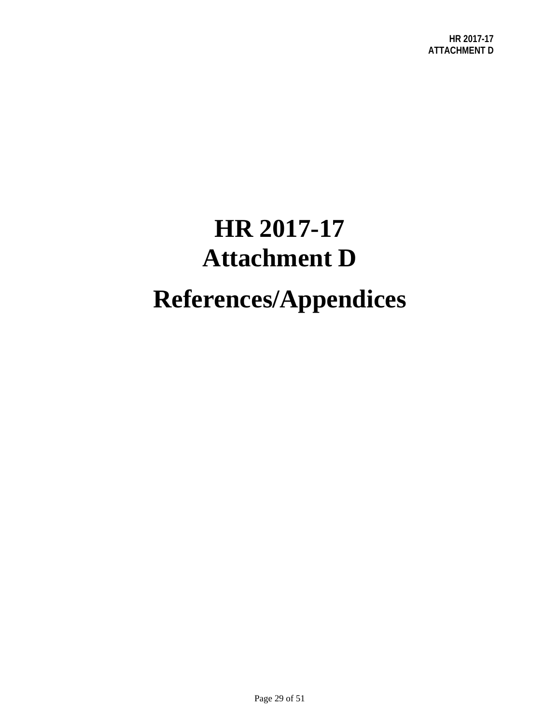# **HR 2017-17 Attachment D References/Appendices**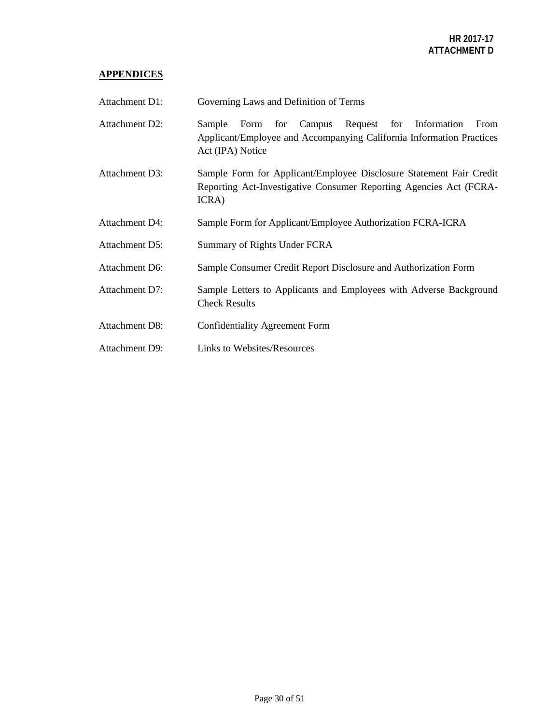#### **APPENDICES**

| Attachment D1: | Governing Laws and Definition of Terms                                                                                                                |
|----------------|-------------------------------------------------------------------------------------------------------------------------------------------------------|
| Attachment D2: | Form for Campus Request for Information<br>Sample<br>From<br>Applicant/Employee and Accompanying California Information Practices<br>Act (IPA) Notice |
| Attachment D3: | Sample Form for Applicant/Employee Disclosure Statement Fair Credit<br>Reporting Act-Investigative Consumer Reporting Agencies Act (FCRA-<br>ICRA)    |
| Attachment D4: | Sample Form for Applicant/Employee Authorization FCRA-ICRA                                                                                            |
| Attachment D5: | Summary of Rights Under FCRA                                                                                                                          |
| Attachment D6: | Sample Consumer Credit Report Disclosure and Authorization Form                                                                                       |
| Attachment D7: | Sample Letters to Applicants and Employees with Adverse Background<br><b>Check Results</b>                                                            |
| Attachment D8: | Confidentiality Agreement Form                                                                                                                        |
| Attachment D9: | Links to Websites/Resources                                                                                                                           |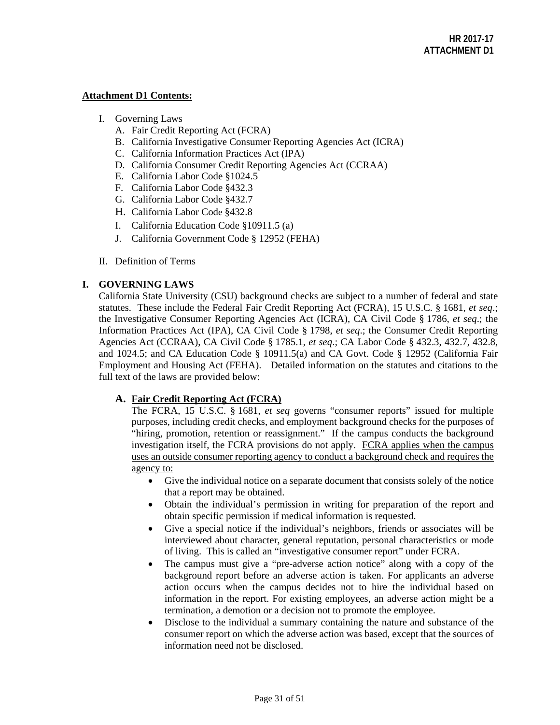#### **Attachment D1 Contents:**

- I. Governing Laws
	- A. Fair Credit Reporting Act (FCRA)
	- B. California Investigative Consumer Reporting Agencies Act (ICRA)
	- C. California Information Practices Act (IPA)
	- D. California Consumer Credit Reporting Agencies Act (CCRAA)
	- E. California Labor Code §1024.5
	- F. California Labor Code §432.3
	- G. California Labor Code §432.7
	- H. California Labor Code §432.8
	- I. California Education Code §10911.5 (a)
	- J. California Government Code § 12952 (FEHA)
- II. Definition of Terms

#### **I. GOVERNING LAWS**

California State University (CSU) background checks are subject to a number of federal and state statutes. These include the Federal Fair Credit Reporting Act (FCRA), 15 U.S.C. § 1681, *et seq*.; the Investigative Consumer Reporting Agencies Act (ICRA), CA Civil Code § 1786, *et seq*.; the Information Practices Act (IPA), CA Civil Code § 1798, *et seq*.; the Consumer Credit Reporting Agencies Act (CCRAA), CA Civil Code § 1785.1, *et seq*.; CA Labor Code § 432.3, 432.7, 432.8, and 1024.5; and CA Education Code § 10911.5(a) and CA Govt. Code § 12952 (California Fair Employment and Housing Act (FEHA). Detailed information on the statutes and citations to the full text of the laws are provided below:

#### **A. Fair Credit Reporting Act (FCRA)**

The FCRA, 15 U.S.C. § 1681, *et seq* governs "consumer reports" issued for multiple purposes, including credit checks, and employment background checks for the purposes of "hiring, promotion, retention or reassignment." If the campus conducts the background investigation itself, the FCRA provisions do not apply. FCRA applies when the campus uses an outside consumer reporting agency to conduct a background check and requires the agency to:

- Give the individual notice on a separate document that consists solely of the notice that a report may be obtained.
- Obtain the individual's permission in writing for preparation of the report and obtain specific permission if medical information is requested.
- Give a special notice if the individual's neighbors, friends or associates will be interviewed about character, general reputation, personal characteristics or mode of living. This is called an "investigative consumer report" under FCRA.
- The campus must give a "pre-adverse action notice" along with a copy of the background report before an adverse action is taken. For applicants an adverse action occurs when the campus decides not to hire the individual based on information in the report. For existing employees, an adverse action might be a termination, a demotion or a decision not to promote the employee.
- Disclose to the individual a summary containing the nature and substance of the consumer report on which the adverse action was based, except that the sources of information need not be disclosed.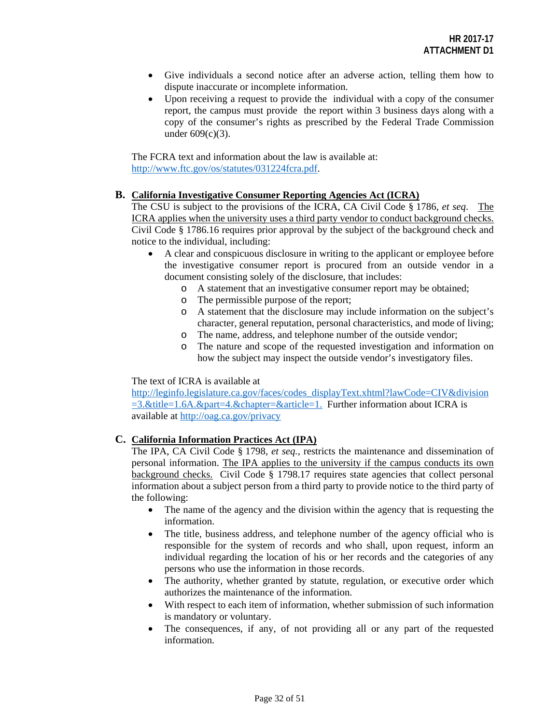- Give individuals a second notice after an adverse action, telling them how to dispute inaccurate or incomplete information.
- Upon receiving a request to provide the individual with a copy of the consumer report, the campus must provide the report within 3 business days along with a copy of the consumer's rights as prescribed by the Federal Trade Commission under 609(c)(3).

The FCRA text and information about the law is available at: [http://www.ftc.gov/os/statutes/031224fcra.pdf.](http://www.ftc.gov/os/statutes/031224fcra.pdf)

#### **B. California Investigative Consumer Reporting Agencies Act (ICRA)**

The CSU is subject to the provisions of the ICRA, CA Civil Code § 1786, *et seq*. The ICRA applies when the university uses a third party vendor to conduct background checks. Civil Code § 1786.16 requires prior approval by the subject of the background check and notice to the individual, including:

- A clear and conspicuous disclosure in writing to the applicant or employee before the investigative consumer report is procured from an outside vendor in a document consisting solely of the disclosure, that includes:
	- o A statement that an investigative consumer report may be obtained;
	- o The permissible purpose of the report;
	- o A statement that the disclosure may include information on the subject's character, general reputation, personal characteristics, and mode of living;
	- o The name, address, and telephone number of the outside vendor;
	- The nature and scope of the requested investigation and information on how the subject may inspect the outside vendor's investigatory files.

#### The text of ICRA is available at

[http://leginfo.legislature.ca.gov/faces/codes\\_displayText.xhtml?lawCode=CIV&division](http://leginfo.legislature.ca.gov/faces/codes_displayText.xhtml?lawCode=CIV&division=3.&title=1.6A.&part=4.&chapter=&article=1.) [=3.&title=1.6A.&part=4.&chapter=&article=1.](http://leginfo.legislature.ca.gov/faces/codes_displayText.xhtml?lawCode=CIV&division=3.&title=1.6A.&part=4.&chapter=&article=1.) Further information about ICRA is available at<http://oag.ca.gov/privacy>

#### **C. California Information Practices Act (IPA)**

The IPA, CA Civil Code § 1798*, et seq.,* restricts the maintenance and dissemination of personal information. The IPA applies to the university if the campus conducts its own background checks. Civil Code § 1798.17 requires state agencies that collect personal information about a subject person from a third party to provide notice to the third party of the following:

- The name of the agency and the division within the agency that is requesting the information.
- The title, business address, and telephone number of the agency official who is responsible for the system of records and who shall, upon request, inform an individual regarding the location of his or her records and the categories of any persons who use the information in those records.
- The authority, whether granted by statute, regulation, or executive order which authorizes the maintenance of the information.
- With respect to each item of information, whether submission of such information is mandatory or voluntary.
- The consequences, if any, of not providing all or any part of the requested information.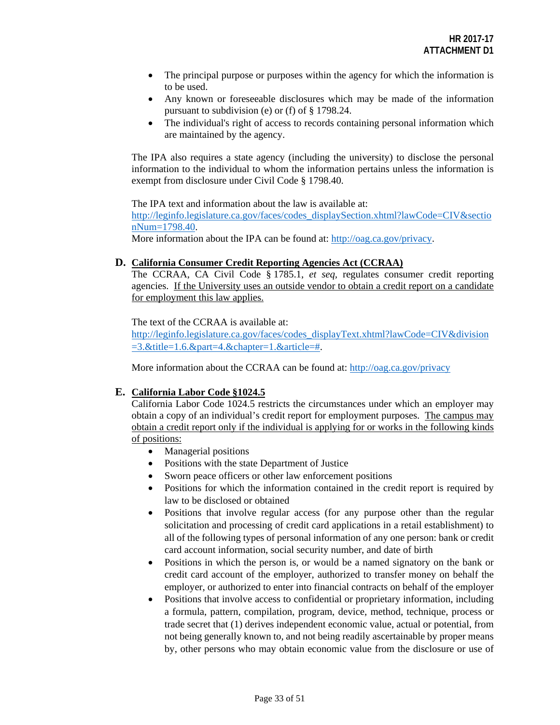- The principal purpose or purposes within the agency for which the information is to be used.
- Any known or foreseeable disclosures which may be made of the information pursuant to subdivision (e) or (f) of § 1798.24.
- The individual's right of access to records containing personal information which are maintained by the agency.

The IPA also requires a state agency (including the university) to disclose the personal information to the individual to whom the information pertains unless the information is exempt from disclosure under Civil Code § 1798.40.

The IPA text and information about the law is available at: [http://leginfo.legislature.ca.gov/faces/codes\\_displaySection.xhtml?lawCode=CIV&sectio](http://leginfo.legislature.ca.gov/faces/codes_displaySection.xhtml?lawCode=CIV§ionNum=1798.40) [nNum=1798.40.](http://leginfo.legislature.ca.gov/faces/codes_displaySection.xhtml?lawCode=CIV§ionNum=1798.40)

More information about the IPA can be found at: [http://oag.ca.gov/privacy.](http://oag.ca.gov/privacy)

#### **D. California Consumer Credit Reporting Agencies Act (CCRAA)**

The CCRAA, CA Civil Code § 1785.1, *et seq,* regulates consumer credit reporting agencies. If the University uses an outside vendor to obtain a credit report on a candidate for employment this law applies.

The text of the CCRAA is available at:

[http://leginfo.legislature.ca.gov/faces/codes\\_displayText.xhtml?lawCode=CIV&division](http://leginfo.legislature.ca.gov/faces/codes_displayText.xhtml?lawCode=CIV&division=3.&title=1.6.&part=4.&chapter=1.&article=) [=3.&title=1.6.&part=4.&chapter=1.&article=#.](http://leginfo.legislature.ca.gov/faces/codes_displayText.xhtml?lawCode=CIV&division=3.&title=1.6.&part=4.&chapter=1.&article=)

More information about the CCRAA can be found at:<http://oag.ca.gov/privacy>

#### **E. California Labor Code §1024.5**

California Labor Code 1024.5 restricts the circumstances under which an employer may obtain a copy of an individual's credit report for employment purposes. The campus may obtain a credit report only if the individual is applying for or works in the following kinds of positions:

- Managerial positions
- Positions with the state Department of Justice
- Sworn peace officers or other law enforcement positions
- Positions for which the information contained in the credit report is required by law to be disclosed or obtained
- Positions that involve regular access (for any purpose other than the regular solicitation and processing of credit card applications in a retail establishment) to all of the following types of personal information of any one person: bank or credit card account information, social security number, and date of birth
- Positions in which the person is, or would be a named signatory on the bank or credit card account of the employer, authorized to transfer money on behalf the employer, or authorized to enter into financial contracts on behalf of the employer
- Positions that involve access to confidential or proprietary information, including a formula, pattern, compilation, program, device, method, technique, process or trade secret that (1) derives independent economic value, actual or potential, from not being generally known to, and not being readily ascertainable by proper means by, other persons who may obtain economic value from the disclosure or use of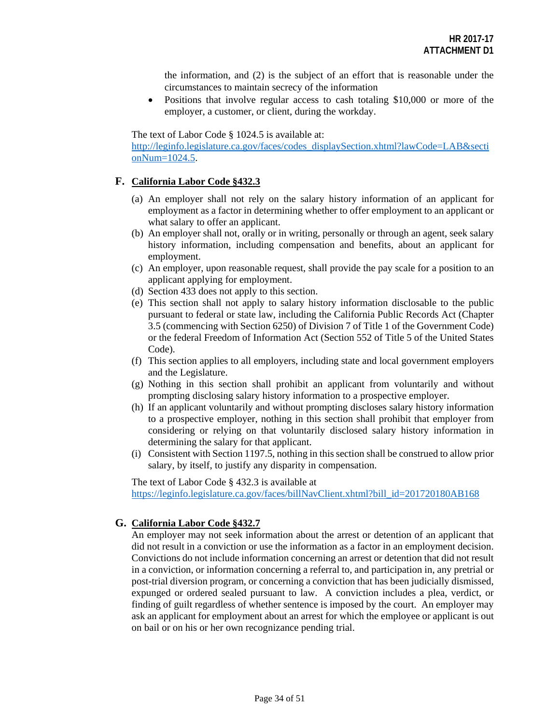the information, and (2) is the subject of an effort that is reasonable under the circumstances to maintain secrecy of the information

• Positions that involve regular access to cash totaling \$10,000 or more of the employer, a customer, or client, during the workday.

The text of Labor Code § 1024.5 is available at:

[http://leginfo.legislature.ca.gov/faces/codes\\_displaySection.xhtml?lawCode=LAB&secti](http://leginfo.legislature.ca.gov/faces/codes_displaySection.xhtml?lawCode=LAB§ionNum=1024.5) [onNum=1024.5.](http://leginfo.legislature.ca.gov/faces/codes_displaySection.xhtml?lawCode=LAB§ionNum=1024.5)

#### **F. California Labor Code §432.3**

- (a) An employer shall not rely on the salary history information of an applicant for employment as a factor in determining whether to offer employment to an applicant or what salary to offer an applicant.
- (b) An employer shall not, orally or in writing, personally or through an agent, seek salary history information, including compensation and benefits, about an applicant for employment.
- (c) An employer, upon reasonable request, shall provide the pay scale for a position to an applicant applying for employment.
- (d) Section 433 does not apply to this section.
- (e) This section shall not apply to salary history information disclosable to the public pursuant to federal or state law, including the California Public Records Act (Chapter 3.5 (commencing with Section 6250) of Division 7 of Title 1 of the Government Code) or the federal Freedom of Information Act (Section 552 of Title 5 of the United States Code).
- (f) This section applies to all employers, including state and local government employers and the Legislature.
- (g) Nothing in this section shall prohibit an applicant from voluntarily and without prompting disclosing salary history information to a prospective employer.
- (h) If an applicant voluntarily and without prompting discloses salary history information to a prospective employer, nothing in this section shall prohibit that employer from considering or relying on that voluntarily disclosed salary history information in determining the salary for that applicant.
- (i) Consistent with Section 1197.5, nothing in this section shall be construed to allow prior salary, by itself, to justify any disparity in compensation.

The text of Labor Code § 432.3 is available at [https://leginfo.legislature.ca.gov/faces/billNavClient.xhtml?bill\\_id=201720180AB168](https://leginfo.legislature.ca.gov/faces/billCompareClient.xhtml?bill_id=201720180AB168) 

#### **G. California Labor Code §432.7**

An employer may not seek information about the arrest or detention of an applicant that did not result in a conviction or use the information as a factor in an employment decision. Convictions do not include information concerning an arrest or detention that did not result in a conviction, or information concerning a referral to, and participation in, any pretrial or post-trial diversion program, or concerning a conviction that has been judicially dismissed, expunged or ordered sealed pursuant to law. A conviction includes a plea, verdict, or finding of guilt regardless of whether sentence is imposed by the court. An employer may ask an applicant for employment about an arrest for which the employee or applicant is out on bail or on his or her own recognizance pending trial.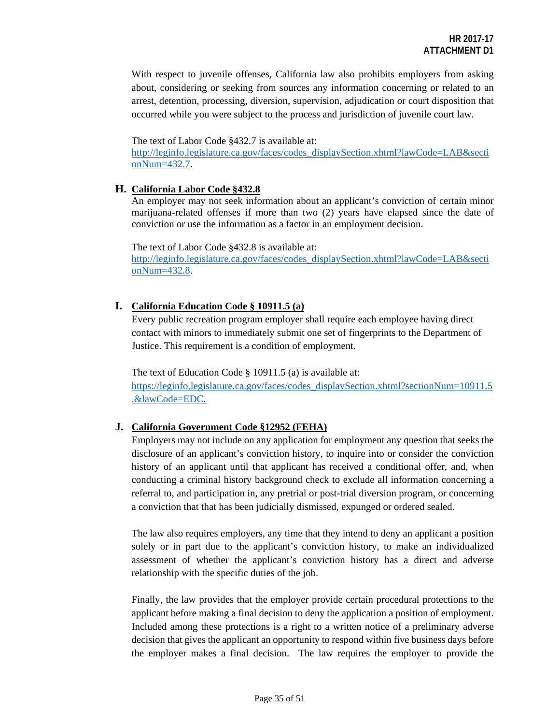With respect to juvenile offenses, California law also prohibits employers from asking about, considering or seeking from sources any information concerning or related to an arrest, detention, processing, diversion, supervision, adjudication or court disposition that occurred while you were subject to the process and jurisdiction of juvenile court law.

The text of Labor Code §432.7 is available at:

[http://leginfo.legislature.ca.gov/faces/codes\\_displaySection.xhtml?lawCode=LAB&secti](http://leginfo.legislature.ca.gov/faces/codes_displaySection.xhtml?lawCode=LAB§ionNum=432.7) [onNum=432.7.](http://leginfo.legislature.ca.gov/faces/codes_displaySection.xhtml?lawCode=LAB§ionNum=432.7)

#### **H. California Labor Code §432.8**

An employer may not seek information about an applicant's conviction of certain minor marijuana-related offenses if more than two (2) years have elapsed since the date of conviction or use the information as a factor in an employment decision.

The text of Labor Code §432.8 is available at: [http://leginfo.legislature.ca.gov/faces/codes\\_displaySection.xhtml?lawCode=LAB&secti](http://leginfo.legislature.ca.gov/faces/codes_displaySection.xhtml?lawCode=LAB§ionNum=432.8) [onNum=432.8.](http://leginfo.legislature.ca.gov/faces/codes_displaySection.xhtml?lawCode=LAB§ionNum=432.8)

#### **I. California Education Code § 10911.5 (a)**

Every public recreation program employer shall require each employee having direct contact with minors to immediately submit one set of fingerprints to the Department of Justice. This requirement is a condition of employment.

The text of Education Code § 10911.5 (a) is available at: [https://leginfo.legislature.ca.gov/faces/codes\\_displaySection.xhtml?sectionNum=10911.5](https://leginfo.legislature.ca.gov/faces/codes_displaySection.xhtml?sectionNum=10911.5.&lawCode=EDC) [.&lawCode=EDC.](https://leginfo.legislature.ca.gov/faces/codes_displaySection.xhtml?sectionNum=10911.5.&lawCode=EDC)

#### **J. California Government Code §12952 (FEHA)**

Employers may not include on any application for employment any question that seeks the disclosure of an applicant's conviction history, to inquire into or consider the conviction history of an applicant until that applicant has received a conditional offer, and, when conducting a criminal history background check to exclude all information concerning a referral to, and participation in, any pretrial or post-trial diversion program, or concerning a conviction that that has been judicially dismissed, expunged or ordered sealed.

The law also requires employers, any time that they intend to deny an applicant a position solely or in part due to the applicant's conviction history, to make an individualized assessment of whether the applicant's conviction history has a direct and adverse relationship with the specific duties of the job.

Finally, the law provides that the employer provide certain procedural protections to the applicant before making a final decision to deny the application a position of employment. Included among these protections is a right to a written notice of a preliminary adverse decision that gives the applicant an opportunity to respond within five business days before the employer makes a final decision. The law requires the employer to provide the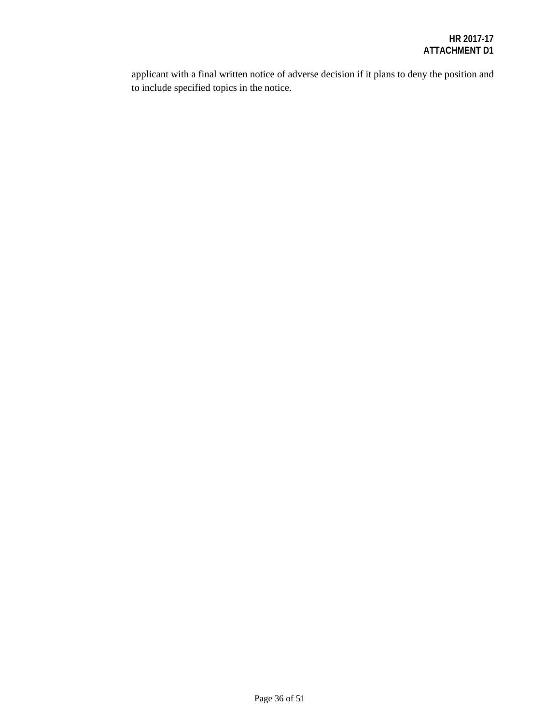applicant with a final written notice of adverse decision if it plans to deny the position and to include specified topics in the notice.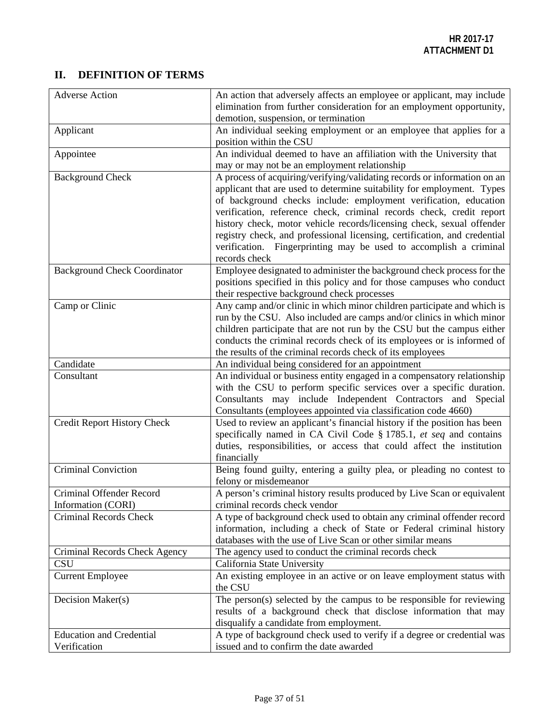#### **II. DEFINITION OF TERMS**

| <b>Adverse Action</b>                           | An action that adversely affects an employee or applicant, may include                                            |
|-------------------------------------------------|-------------------------------------------------------------------------------------------------------------------|
|                                                 | elimination from further consideration for an employment opportunity,                                             |
|                                                 | demotion, suspension, or termination                                                                              |
| Applicant                                       | An individual seeking employment or an employee that applies for a                                                |
|                                                 | position within the CSU                                                                                           |
| Appointee                                       | An individual deemed to have an affiliation with the University that                                              |
|                                                 | may or may not be an employment relationship                                                                      |
| <b>Background Check</b>                         | A process of acquiring/verifying/validating records or information on an                                          |
|                                                 | applicant that are used to determine suitability for employment. Types                                            |
|                                                 | of background checks include: employment verification, education                                                  |
|                                                 | verification, reference check, criminal records check, credit report                                              |
|                                                 | history check, motor vehicle records/licensing check, sexual offender                                             |
|                                                 | registry check, and professional licensing, certification, and credential                                         |
|                                                 | verification. Fingerprinting may be used to accomplish a criminal                                                 |
|                                                 | records check                                                                                                     |
| <b>Background Check Coordinator</b>             | Employee designated to administer the background check process for the                                            |
|                                                 | positions specified in this policy and for those campuses who conduct                                             |
|                                                 | their respective background check processes                                                                       |
| Camp or Clinic                                  | Any camp and/or clinic in which minor children participate and which is                                           |
|                                                 | run by the CSU. Also included are camps and/or clinics in which minor                                             |
|                                                 | children participate that are not run by the CSU but the campus either                                            |
|                                                 | conducts the criminal records check of its employees or is informed of                                            |
|                                                 | the results of the criminal records check of its employees                                                        |
| Candidate                                       | An individual being considered for an appointment                                                                 |
| Consultant                                      | An individual or business entity engaged in a compensatory relationship                                           |
|                                                 | with the CSU to perform specific services over a specific duration.                                               |
|                                                 | Consultants may include Independent Contractors and Special                                                       |
|                                                 | Consultants (employees appointed via classification code 4660)                                                    |
| Credit Report History Check                     | Used to review an applicant's financial history if the position has been                                          |
|                                                 | specifically named in CA Civil Code § 1785.1, et seq and contains                                                 |
|                                                 | duties, responsibilities, or access that could affect the institution                                             |
|                                                 | financially                                                                                                       |
| <b>Criminal Conviction</b>                      | Being found guilty, entering a guilty plea, or pleading no contest to                                             |
|                                                 | felony or misdemeanor                                                                                             |
| Criminal Offender Record                        | A person's criminal history results produced by Live Scan or equivalent                                           |
| Information (CORI)                              | criminal records check vendor                                                                                     |
| <b>Criminal Records Check</b>                   | A type of background check used to obtain any criminal offender record                                            |
|                                                 | information, including a check of State or Federal criminal history                                               |
|                                                 | databases with the use of Live Scan or other similar means                                                        |
| Criminal Records Check Agency                   | The agency used to conduct the criminal records check                                                             |
| <b>CSU</b>                                      | California State University                                                                                       |
| <b>Current Employee</b>                         | An existing employee in an active or on leave employment status with                                              |
|                                                 | the CSU                                                                                                           |
| Decision Maker(s)                               | The person(s) selected by the campus to be responsible for reviewing                                              |
|                                                 | results of a background check that disclose information that may                                                  |
|                                                 |                                                                                                                   |
|                                                 | disqualify a candidate from employment.                                                                           |
| <b>Education and Credential</b><br>Verification | A type of background check used to verify if a degree or credential was<br>issued and to confirm the date awarded |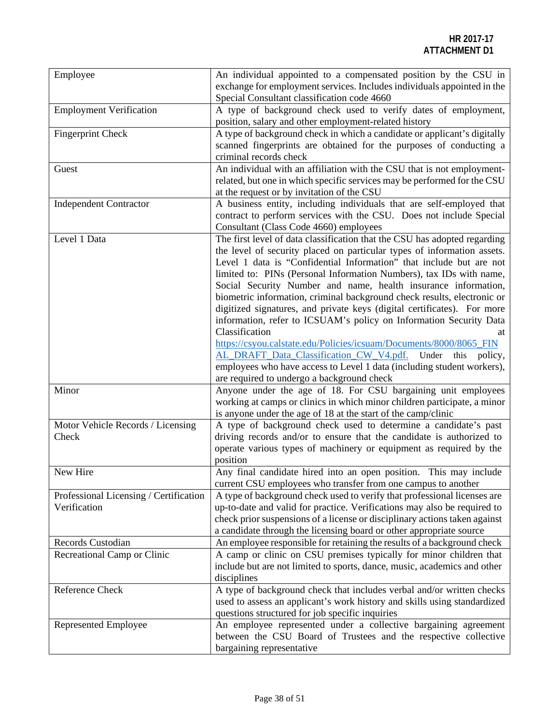| Employee                               | An individual appointed to a compensated position by the CSU in<br>exchange for employment services. Includes individuals appointed in the |  |  |
|----------------------------------------|--------------------------------------------------------------------------------------------------------------------------------------------|--|--|
|                                        | Special Consultant classification code 4660                                                                                                |  |  |
| <b>Employment Verification</b>         | A type of background check used to verify dates of employment,<br>position, salary and other employment-related history                    |  |  |
| <b>Fingerprint Check</b>               | A type of background check in which a candidate or applicant's digitally                                                                   |  |  |
|                                        | scanned fingerprints are obtained for the purposes of conducting a                                                                         |  |  |
|                                        | criminal records check                                                                                                                     |  |  |
| Guest                                  | An individual with an affiliation with the CSU that is not employment-                                                                     |  |  |
|                                        | related, but one in which specific services may be performed for the CSU                                                                   |  |  |
|                                        | at the request or by invitation of the CSU                                                                                                 |  |  |
| <b>Independent Contractor</b>          | A business entity, including individuals that are self-employed that                                                                       |  |  |
|                                        | contract to perform services with the CSU. Does not include Special                                                                        |  |  |
|                                        | Consultant (Class Code 4660) employees                                                                                                     |  |  |
| Level 1 Data                           | The first level of data classification that the CSU has adopted regarding                                                                  |  |  |
|                                        | the level of security placed on particular types of information assets.                                                                    |  |  |
|                                        | Level 1 data is "Confidential Information" that include but are not                                                                        |  |  |
|                                        | limited to: PINs (Personal Information Numbers), tax IDs with name,                                                                        |  |  |
|                                        | Social Security Number and name, health insurance information,                                                                             |  |  |
|                                        | biometric information, criminal background check results, electronic or                                                                    |  |  |
|                                        | digitized signatures, and private keys (digital certificates). For more                                                                    |  |  |
|                                        | information, refer to ICSUAM's policy on Information Security Data                                                                         |  |  |
|                                        | Classification<br>at                                                                                                                       |  |  |
|                                        | https://csyou.calstate.edu/Policies/icsuam/Documents/8000/8065_FIN                                                                         |  |  |
|                                        | AL_DRAFT_Data_Classification_CW_V4.pdf.<br>Under<br>policy,<br>this                                                                        |  |  |
|                                        | employees who have access to Level 1 data (including student workers),                                                                     |  |  |
|                                        | are required to undergo a background check                                                                                                 |  |  |
| Minor                                  | Anyone under the age of 18. For CSU bargaining unit employees                                                                              |  |  |
|                                        | working at camps or clinics in which minor children participate, a minor                                                                   |  |  |
|                                        | is anyone under the age of 18 at the start of the camp/clinic                                                                              |  |  |
| Motor Vehicle Records / Licensing      | A type of background check used to determine a candidate's past                                                                            |  |  |
| Check                                  | driving records and/or to ensure that the candidate is authorized to                                                                       |  |  |
|                                        | operate various types of machinery or equipment as required by the                                                                         |  |  |
|                                        | position                                                                                                                                   |  |  |
| New Hire                               | Any final candidate hired into an open position. This may include                                                                          |  |  |
|                                        | current CSU employees who transfer from one campus to another                                                                              |  |  |
| Professional Licensing / Certification | A type of background check used to verify that professional licenses are                                                                   |  |  |
| Verification                           | up-to-date and valid for practice. Verifications may also be required to                                                                   |  |  |
|                                        | check prior suspensions of a license or disciplinary actions taken against                                                                 |  |  |
|                                        | a candidate through the licensing board or other appropriate source                                                                        |  |  |
| Records Custodian                      | An employee responsible for retaining the results of a background check                                                                    |  |  |
| Recreational Camp or Clinic            | A camp or clinic on CSU premises typically for minor children that                                                                         |  |  |
|                                        | include but are not limited to sports, dance, music, academics and other                                                                   |  |  |
|                                        | disciplines                                                                                                                                |  |  |
| <b>Reference Check</b>                 | A type of background check that includes verbal and/or written checks                                                                      |  |  |
|                                        | used to assess an applicant's work history and skills using standardized                                                                   |  |  |
|                                        | questions structured for job specific inquiries                                                                                            |  |  |
| Represented Employee                   | An employee represented under a collective bargaining agreement                                                                            |  |  |
|                                        | between the CSU Board of Trustees and the respective collective                                                                            |  |  |
|                                        | bargaining representative                                                                                                                  |  |  |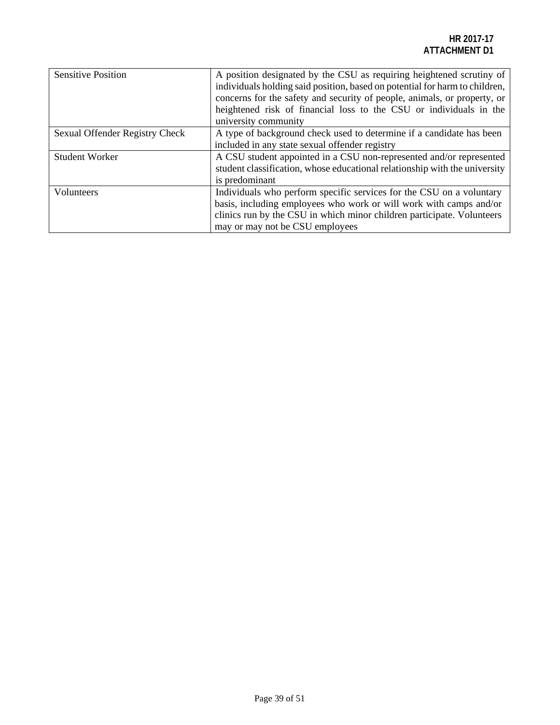| <b>Sensitive Position</b>      | A position designated by the CSU as requiring heightened scrutiny of        |
|--------------------------------|-----------------------------------------------------------------------------|
|                                | individuals holding said position, based on potential for harm to children, |
|                                | concerns for the safety and security of people, animals, or property, or    |
|                                | heightened risk of financial loss to the CSU or individuals in the          |
|                                | university community                                                        |
| Sexual Offender Registry Check | A type of background check used to determine if a candidate has been        |
|                                | included in any state sexual offender registry                              |
| <b>Student Worker</b>          | A CSU student appointed in a CSU non-represented and/or represented         |
|                                | student classification, whose educational relationship with the university  |
|                                | is predominant                                                              |
| Volunteers                     | Individuals who perform specific services for the CSU on a voluntary        |
|                                | basis, including employees who work or will work with camps and/or          |
|                                | clinics run by the CSU in which minor children participate. Volunteers      |
|                                | may or may not be CSU employees                                             |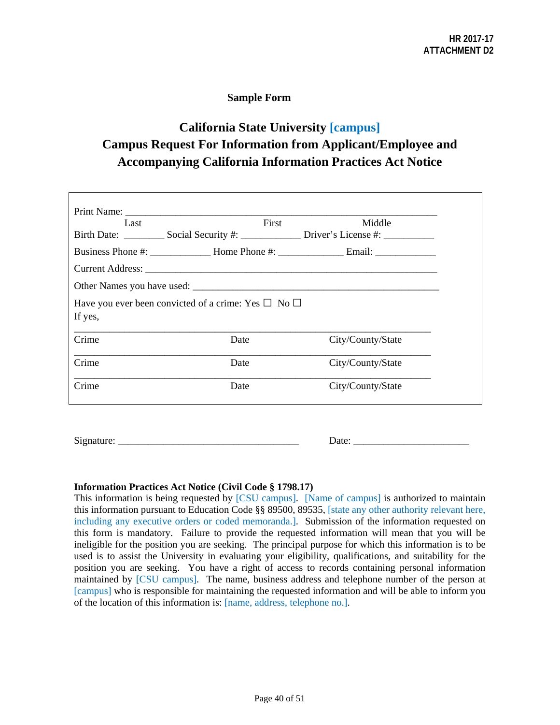**Sample Form**

### **California State University [campus] Campus Request For Information from Applicant/Employee and Accompanying California Information Practices Act Notice**

| First<br>Last                                                                  |      | Middle            |  |
|--------------------------------------------------------------------------------|------|-------------------|--|
|                                                                                |      |                   |  |
|                                                                                |      |                   |  |
|                                                                                |      |                   |  |
| Have you ever been convicted of a crime: Yes $\square$ No $\square$<br>If yes, |      |                   |  |
| Crime                                                                          | Date | City/County/State |  |
| Crime                                                                          | Date | City/County/State |  |
| Crime                                                                          | Date | City/County/State |  |

Signature: \_\_\_\_\_\_\_\_\_\_\_\_\_\_\_\_\_\_\_\_\_\_\_\_\_\_\_\_\_\_\_\_\_\_\_\_ Date: \_\_\_\_\_\_\_\_\_\_\_\_\_\_\_\_\_\_\_\_\_\_\_

#### **Information Practices Act Notice (Civil Code § 1798.17)**

This information is being requested by [CSU campus]. [Name of campus] is authorized to maintain this information pursuant to Education Code §§ 89500, 89535, [state any other authority relevant here, including any executive orders or coded memoranda.]. Submission of the information requested on this form is mandatory. Failure to provide the requested information will mean that you will be ineligible for the position you are seeking. The principal purpose for which this information is to be used is to assist the University in evaluating your eligibility, qualifications, and suitability for the position you are seeking. You have a right of access to records containing personal information maintained by [CSU campus]. The name, business address and telephone number of the person at [campus] who is responsible for maintaining the requested information and will be able to inform you of the location of this information is: [name, address, telephone no.].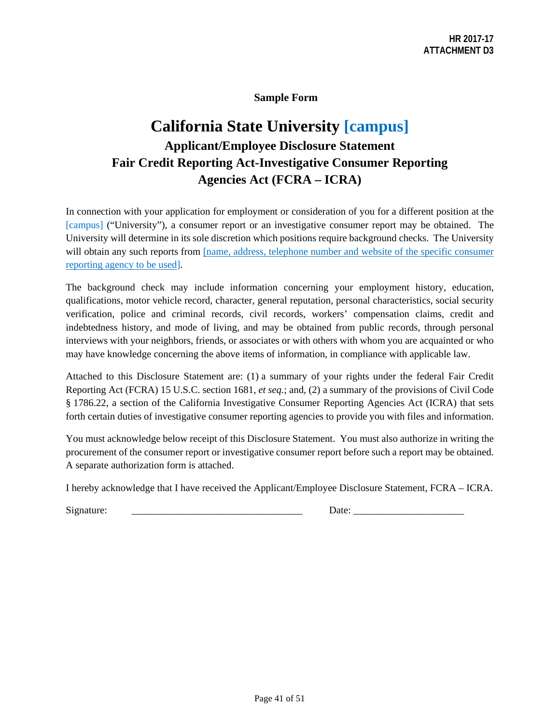**Sample Form**

### **California State University [campus] Applicant/Employee Disclosure Statement Fair Credit Reporting Act-Investigative Consumer Reporting Agencies Act (FCRA – ICRA)**

In connection with your application for employment or consideration of you for a different position at the [campus] ("University"), a consumer report or an investigative consumer report may be obtained. The University will determine in its sole discretion which positions require background checks. The University will obtain any such reports from [name, address, telephone number and website of the specific consumer reporting agency to be used].

The background check may include information concerning your employment history, education, qualifications, motor vehicle record, character, general reputation, personal characteristics, social security verification, police and criminal records, civil records, workers' compensation claims, credit and indebtedness history, and mode of living, and may be obtained from public records, through personal interviews with your neighbors, friends, or associates or with others with whom you are acquainted or who may have knowledge concerning the above items of information, in compliance with applicable law.

Attached to this Disclosure Statement are: (1) a summary of your rights under the federal Fair Credit Reporting Act (FCRA) 15 U.S.C. section 1681, *et seq.*; and, (2) a summary of the provisions of Civil Code § 1786.22, a section of the California Investigative Consumer Reporting Agencies Act (ICRA) that sets forth certain duties of investigative consumer reporting agencies to provide you with files and information.

You must acknowledge below receipt of this Disclosure Statement. You must also authorize in writing the procurement of the consumer report or investigative consumer report before such a report may be obtained. A separate authorization form is attached.

I hereby acknowledge that I have received the Applicant/Employee Disclosure Statement, FCRA – ICRA.

Signature: \_\_\_\_\_\_\_\_\_\_\_\_\_\_\_\_\_\_\_\_\_\_\_\_\_\_\_\_\_\_\_\_\_\_ Date: \_\_\_\_\_\_\_\_\_\_\_\_\_\_\_\_\_\_\_\_\_\_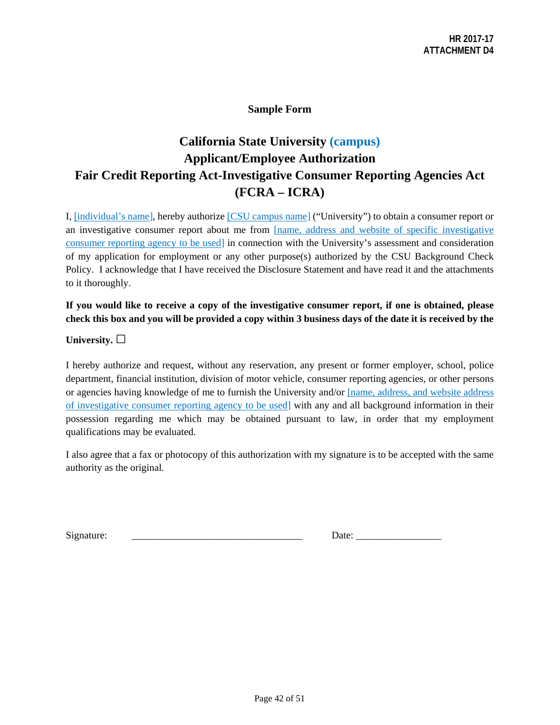#### **Sample Form**

### **California State University (campus) Applicant/Employee Authorization Fair Credit Reporting Act-Investigative Consumer Reporting Agencies Act (FCRA – ICRA)**

I, [individual's name], hereby authorize [CSU campus name] ("University") to obtain a consumer report or an investigative consumer report about me from [name, address and website of specific investigative consumer reporting agency to be used] in connection with the University's assessment and consideration of my application for employment or any other purpose(s) authorized by the CSU Background Check Policy. I acknowledge that I have received the Disclosure Statement and have read it and the attachments to it thoroughly.

**If you would like to receive a copy of the investigative consumer report, if one is obtained, please check this box and you will be provided a copy within 3 business days of the date it is received by the** 

**University. □** 

I hereby authorize and request, without any reservation, any present or former employer, school, police department, financial institution, division of motor vehicle, consumer reporting agencies, or other persons or agencies having knowledge of me to furnish the University and/or [name, address, and website address of investigative consumer reporting agency to be used] with any and all background information in their possession regarding me which may be obtained pursuant to law, in order that my employment qualifications may be evaluated.

I also agree that a fax or photocopy of this authorization with my signature is to be accepted with the same authority as the original.

Signature: \_\_\_\_\_\_\_\_\_\_\_\_\_\_\_\_\_\_\_\_\_\_\_\_\_\_\_\_\_\_\_\_\_\_ Date: \_\_\_\_\_\_\_\_\_\_\_\_\_\_\_\_\_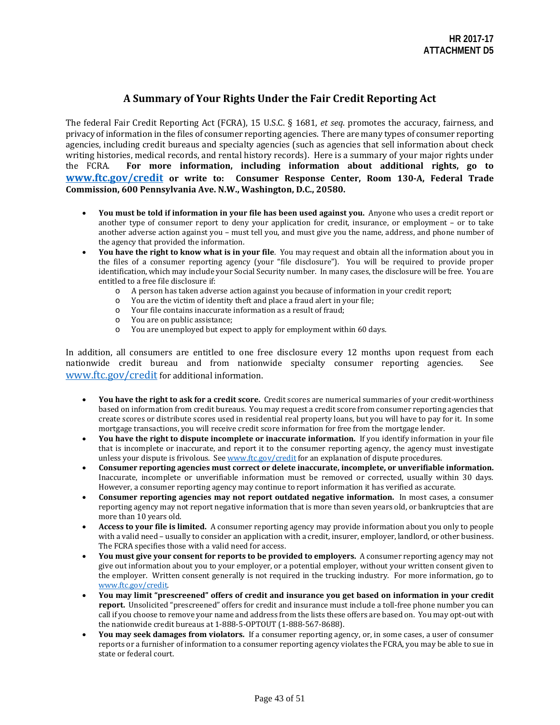#### **A Summary of Your Rights Under the Fair Credit Reporting Act**

The federal Fair Credit Reporting Act (FCRA), 15 U.S.C. § 1681, *et seq*. promotes the accuracy, fairness, and privacy of information in the files of consumer reporting agencies. There are many types of consumer reporting agencies, including credit bureaus and specialty agencies (such as agencies that sell information about check writing histories, medical records, and rental history records). Here is a summary of your major rights under<br>the FCRA. For more information, including information about additional rights, go to For more information, including information about additional rights, go to **[www.ftc.gov/credit](http://www.ftc.gov/credit) or write to: Consumer Response Center, Room 130-A, Federal Trade Commission, 600 Pennsylvania Ave. N.W., Washington, D.C., 20580.**

- **You must be told if information in your file has been used against you.** Anyone who uses a credit report or another type of consumer report to deny your application for credit, insurance, or employment – or to take another adverse action against you – must tell you, and must give you the name, address, and phone number of the agency that provided the information.
- **You have the right to know what is in your file**. You may request and obtain all the information about you in the files of a consumer reporting agency (your "file disclosure"). You will be required to provide proper identification, which may include your Social Security number. In many cases, the disclosure will be free. You are entitled to a free file disclosure if:
	- o A person has taken adverse action against you because of information in your credit report;
	- $\circ$  You are the victim of identity theft and place a fraud alert in your file;<br> $\circ$  Your file contains inaccurate information as a result of fraud;
	- Your file contains inaccurate information as a result of fraud;
	- o You are on public assistance;<br>
	o You are unemploved but expe
	- You are unemployed but expect to apply for employment within 60 days.

In addition, all consumers are entitled to one free disclosure every 12 months upon request from each nationwide credit bureau and from nationwide specialty consumer reporting agencies. See nationwide credit bureau and from nationwide specialty consumer reporting agencies. [www.ftc.gov/credit](http://www.ftc.gov/credit) for additional information.

- **You have the right to ask for a credit score.** Credit scores are numerical summaries of your credit-worthiness based on information from credit bureaus. You may request a credit score from consumer reporting agencies that create scores or distribute scores used in residential real property loans, but you will have to pay for it. In some mortgage transactions, you will receive credit score information for free from the mortgage lender.
- **You have the right to dispute incomplete or inaccurate information.** If you identify information in your file that is incomplete or inaccurate, and report it to the consumer reporting agency, the agency must investigate unless your dispute is frivolous. See [www.ftc.gov/credit](http://www.ftc.gov/credit) for an explanation of dispute procedures.
- **Consumer reporting agencies must correct or delete inaccurate, incomplete, or unverifiable information.** Inaccurate, incomplete or unverifiable information must be removed or corrected, usually within 30 days. However, a consumer reporting agency may continue to report information it has verified as accurate.
- **Consumer reporting agencies may not report outdated negative information.** In most cases, a consumer reporting agency may not report negative information that is more than seven years old, or bankruptcies that are more than 10 years old.
- **Access to your file is limited.** A consumer reporting agency may provide information about you only to people with a valid need – usually to consider an application with a credit, insurer, employer, landlord, or other business. The FCRA specifies those with a valid need for access.
- **You must give your consent for reports to be provided to employers.** A consumer reporting agency may not give out information about you to your employer, or a potential employer, without your written consent given to the employer. Written consent generally is not required in the trucking industry. For more information, go to [www.ftc.gov/credit.](http://www.ftc.gov/credit)
- **You may limit "prescreened" offers of credit and insurance you get based on information in your credit report.** Unsolicited "prescreened" offers for credit and insurance must include a toll-free phone number you can call if you choose to remove your name and address from the lists these offers are based on. You may opt-out with the nationwide credit bureaus at 1-888-5-OPTOUT (1-888-567-8688).
- **You may seek damages from violators.** If a consumer reporting agency, or, in some cases, a user of consumer reports or a furnisher of information to a consumer reporting agency violates the FCRA, you may be able to sue in state or federal court.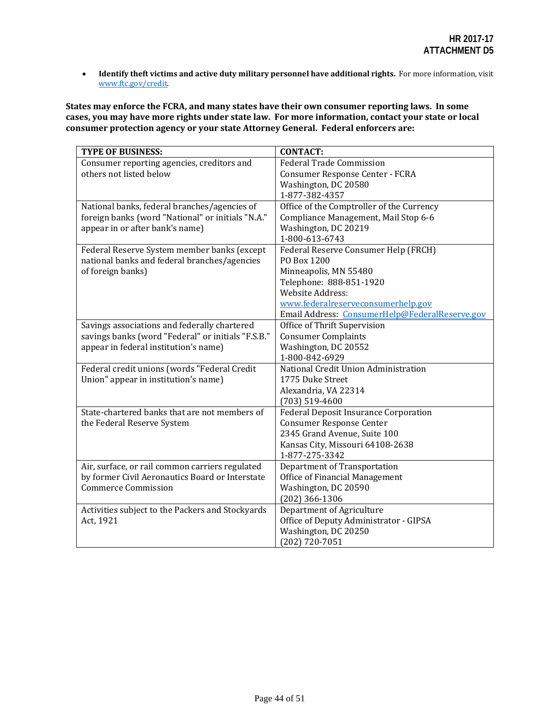• **Identify theft victims and active duty military personnel have additional rights.** For more information, visit [www.ftc.gov/credit.](http://www.ftc.gov/credit)

**States may enforce the FCRA, and many states have their own consumer reporting laws. In some cases, you may have more rights under state law. For more information, contact your state or local consumer protection agency or your state Attorney General. Federal enforcers are:** 

| <b>Federal Trade Commission</b><br>Consumer reporting agencies, creditors and<br>others not listed below<br>Consumer Response Center - FCRA<br>Washington, DC 20580<br>1-877-382-4357<br>Office of the Comptroller of the Currency<br>National banks, federal branches/agencies of<br>foreign banks (word "National" or initials "N.A."<br>Compliance Management, Mail Stop 6-6<br>Washington, DC 20219<br>appear in or after bank's name)<br>1-800-613-6743<br>Federal Reserve Consumer Help (FRCH)<br>Federal Reserve System member banks (except<br>PO Box 1200 |
|--------------------------------------------------------------------------------------------------------------------------------------------------------------------------------------------------------------------------------------------------------------------------------------------------------------------------------------------------------------------------------------------------------------------------------------------------------------------------------------------------------------------------------------------------------------------|
|                                                                                                                                                                                                                                                                                                                                                                                                                                                                                                                                                                    |
|                                                                                                                                                                                                                                                                                                                                                                                                                                                                                                                                                                    |
|                                                                                                                                                                                                                                                                                                                                                                                                                                                                                                                                                                    |
|                                                                                                                                                                                                                                                                                                                                                                                                                                                                                                                                                                    |
|                                                                                                                                                                                                                                                                                                                                                                                                                                                                                                                                                                    |
|                                                                                                                                                                                                                                                                                                                                                                                                                                                                                                                                                                    |
|                                                                                                                                                                                                                                                                                                                                                                                                                                                                                                                                                                    |
|                                                                                                                                                                                                                                                                                                                                                                                                                                                                                                                                                                    |
|                                                                                                                                                                                                                                                                                                                                                                                                                                                                                                                                                                    |
| national banks and federal branches/agencies                                                                                                                                                                                                                                                                                                                                                                                                                                                                                                                       |
| of foreign banks)<br>Minneapolis, MN 55480                                                                                                                                                                                                                                                                                                                                                                                                                                                                                                                         |
| Telephone: 888-851-1920                                                                                                                                                                                                                                                                                                                                                                                                                                                                                                                                            |
| <b>Website Address:</b>                                                                                                                                                                                                                                                                                                                                                                                                                                                                                                                                            |
| www.federalreserveconsumerhelp.gov                                                                                                                                                                                                                                                                                                                                                                                                                                                                                                                                 |
| Email Address: ConsumerHelp@FederalReserve.gov                                                                                                                                                                                                                                                                                                                                                                                                                                                                                                                     |
| Savings associations and federally chartered<br>Office of Thrift Supervision                                                                                                                                                                                                                                                                                                                                                                                                                                                                                       |
| savings banks (word "Federal" or initials "F.S.B."<br><b>Consumer Complaints</b>                                                                                                                                                                                                                                                                                                                                                                                                                                                                                   |
| Washington, DC 20552<br>appear in federal institution's name)                                                                                                                                                                                                                                                                                                                                                                                                                                                                                                      |
| 1-800-842-6929                                                                                                                                                                                                                                                                                                                                                                                                                                                                                                                                                     |
| Federal credit unions (words "Federal Credit<br>National Credit Union Administration                                                                                                                                                                                                                                                                                                                                                                                                                                                                               |
| Union" appear in institution's name)<br>1775 Duke Street                                                                                                                                                                                                                                                                                                                                                                                                                                                                                                           |
| Alexandria, VA 22314                                                                                                                                                                                                                                                                                                                                                                                                                                                                                                                                               |
| $(703)$ 519-4600                                                                                                                                                                                                                                                                                                                                                                                                                                                                                                                                                   |
| State-chartered banks that are not members of<br><b>Federal Deposit Insurance Corporation</b>                                                                                                                                                                                                                                                                                                                                                                                                                                                                      |
| the Federal Reserve System<br><b>Consumer Response Center</b>                                                                                                                                                                                                                                                                                                                                                                                                                                                                                                      |
| 2345 Grand Avenue, Suite 100                                                                                                                                                                                                                                                                                                                                                                                                                                                                                                                                       |
| Kansas City, Missouri 64108-2638<br>1-877-275-3342                                                                                                                                                                                                                                                                                                                                                                                                                                                                                                                 |
|                                                                                                                                                                                                                                                                                                                                                                                                                                                                                                                                                                    |
| Air, surface, or rail common carriers regulated<br>Department of Transportation<br>by former Civil Aeronautics Board or Interstate<br>Office of Financial Management                                                                                                                                                                                                                                                                                                                                                                                               |
| <b>Commerce Commission</b><br>Washington, DC 20590                                                                                                                                                                                                                                                                                                                                                                                                                                                                                                                 |
| $(202)$ 366-1306                                                                                                                                                                                                                                                                                                                                                                                                                                                                                                                                                   |
| Activities subject to the Packers and Stockyards<br>Department of Agriculture                                                                                                                                                                                                                                                                                                                                                                                                                                                                                      |
| Office of Deputy Administrator - GIPSA<br>Act, 1921                                                                                                                                                                                                                                                                                                                                                                                                                                                                                                                |
| Washington, DC 20250                                                                                                                                                                                                                                                                                                                                                                                                                                                                                                                                               |
| (202) 720-7051                                                                                                                                                                                                                                                                                                                                                                                                                                                                                                                                                     |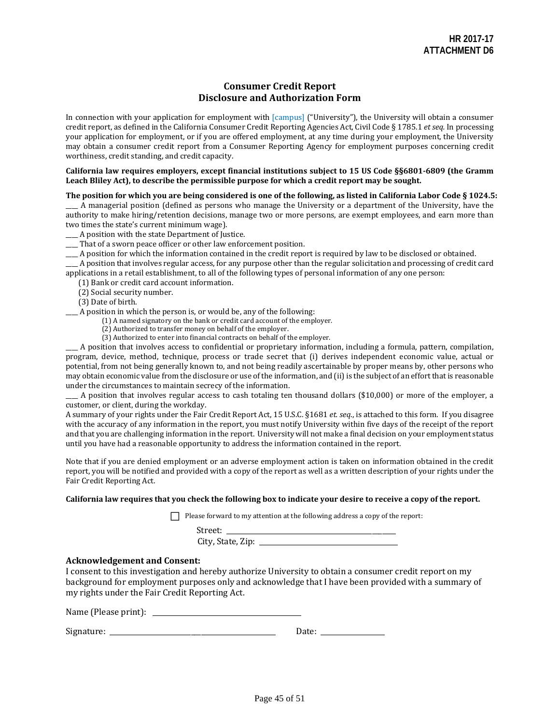#### **Consumer Credit Report Disclosure and Authorization Form**

In connection with your application for employment with [campus] ("University"), the University will obtain a consumer credit report, as defined in the California Consumer Credit Reporting Agencies Act, Civil Code § 1785.1 *et seq.* In processing your application for employment, or if you are offered employment, at any time during your employment, the University may obtain a consumer credit report from a Consumer Reporting Agency for employment purposes concerning credit worthiness, credit standing, and credit capacity.

#### **California law requires employers, except financial institutions subject to 15 US Code §§6801-6809 (the Gramm Leach Bliley Act), to describe the permissible purpose for which a credit report may be sought.**

#### **The position for which you are being considered is one of the following, as listed in California Labor Code § 1024.5:**

\_\_\_\_ A managerial position (defined as persons who manage the University or a department of the University, have the authority to make hiring/retention decisions, manage two or more persons, are exempt employees, and earn more than two times the state's current minimum wage).

\_\_\_\_ A position with the state Department of Justice.

\_\_\_\_ That of a sworn peace officer or other law enforcement position.

\_\_\_\_ A position for which the information contained in the credit report is required by law to be disclosed or obtained.

\_\_\_\_ A position that involves regular access, for any purpose other than the regular solicitation and processing of credit card applications in a retail establishment, to all of the following types of personal information of any one person:

(1) Bank or credit card account information.

(2) Social security number.

(3) Date of birth.

\_\_\_\_ A position in which the person is, or would be, any of the following:

- (1) A named signatory on the bank or credit card account of the employer.
- (2) Authorized to transfer money on behalf of the employer.
- (3) Authorized to enter into financial contracts on behalf of the employer.

\_\_\_\_ A position that involves access to confidential or proprietary information, including a formula, pattern, compilation, program, device, method, technique, process or trade secret that (i) derives independent economic value, actual or potential, from not being generally known to, and not being readily ascertainable by proper means by, other persons who may obtain economic value from the disclosure or use of the information, and (ii) is the subject of an effort that is reasonable under the circumstances to maintain secrecy of the information.

\_\_\_\_ A position that involves regular access to cash totaling ten thousand dollars (\$10,000) or more of the employer, a customer, or client, during the workday.

A summary of your rights under the Fair Credit Report Act, 15 U.S.C. §1681 *et. seq*., is attached to this form. If you disagree with the accuracy of any information in the report, you must notify University within five days of the receipt of the report and that you are challenging information in the report. University will not make a final decision on your employment status until you have had a reasonable opportunity to address the information contained in the report.

Note that if you are denied employment or an adverse employment action is taken on information obtained in the credit report, you will be notified and provided with a copy of the report as well as a written description of your rights under the Fair Credit Reporting Act.

#### **California law requires that you check the following box to indicate your desire to receive a copy of the report.**

**□** Please forward to my attention at the following address a copy of the report:

| Street:           |  |
|-------------------|--|
| City, State, Zip: |  |

#### **Acknowledgement and Consent:**

I consent to this investigation and hereby authorize University to obtain a consumer credit report on my background for employment purposes only and acknowledge that I have been provided with a summary of my rights under the Fair Credit Reporting Act.

Name (Please print): \_\_\_\_\_\_\_\_\_\_\_\_\_\_\_\_\_\_\_\_\_\_\_\_\_\_\_\_\_\_\_\_\_\_\_\_\_\_\_\_\_\_\_\_

| $\sim$<br>51£<br>. <b></b> . . | __ | ---- |  |
|--------------------------------|----|------|--|
|--------------------------------|----|------|--|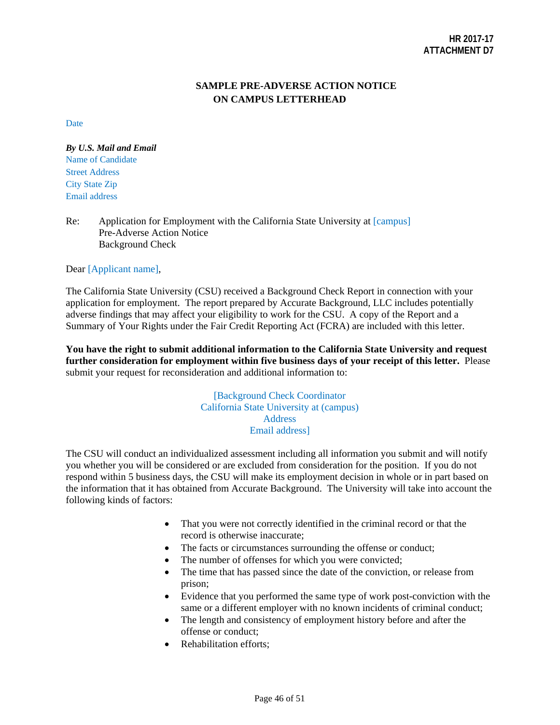#### **SAMPLE PRE-ADVERSE ACTION NOTICE ON CAMPUS LETTERHEAD**

**Date** 

*By U.S. Mail and Email* Name of Candidate Street Address City State Zip Email address

Re: Application for Employment with the California State University at [campus] Pre-Adverse Action Notice Background Check

Dear [Applicant name],

The California State University (CSU) received a Background Check Report in connection with your application for employment. The report prepared by Accurate Background, LLC includes potentially adverse findings that may affect your eligibility to work for the CSU. A copy of the Report and a Summary of Your Rights under the Fair Credit Reporting Act (FCRA) are included with this letter.

**You have the right to submit additional information to the California State University and request further consideration for employment within five business days of your receipt of this letter.** Please submit your request for reconsideration and additional information to:

> [Background Check Coordinator California State University at (campus) Address Email address]

The CSU will conduct an individualized assessment including all information you submit and will notify you whether you will be considered or are excluded from consideration for the position. If you do not respond within 5 business days, the CSU will make its employment decision in whole or in part based on the information that it has obtained from Accurate Background. The University will take into account the following kinds of factors:

- That you were not correctly identified in the criminal record or that the record is otherwise inaccurate;
- The facts or circumstances surrounding the offense or conduct;
- The number of offenses for which you were convicted;
- The time that has passed since the date of the conviction, or release from prison;
- Evidence that you performed the same type of work post-conviction with the same or a different employer with no known incidents of criminal conduct;
- The length and consistency of employment history before and after the offense or conduct;
- Rehabilitation efforts: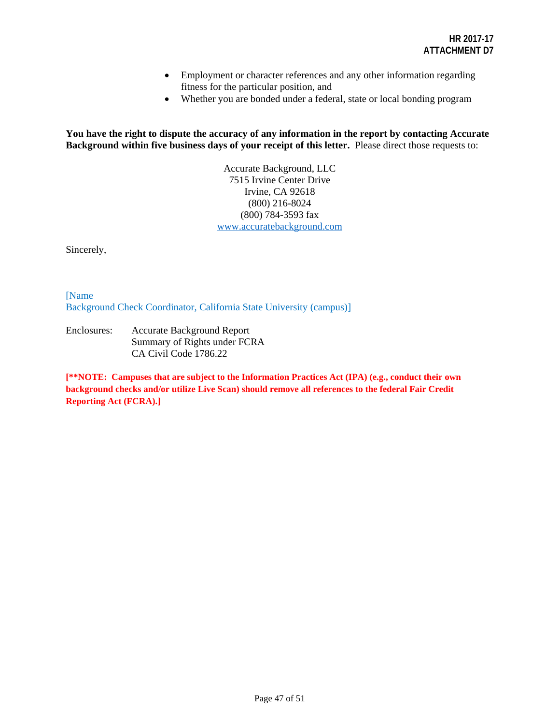- Employment or character references and any other information regarding fitness for the particular position, and
- Whether you are bonded under a federal, state or local bonding program

**You have the right to dispute the accuracy of any information in the report by contacting Accurate Background within five business days of your receipt of this letter.** Please direct those requests to:

> Accurate Background, LLC 7515 Irvine Center Drive Irvine, CA 92618 (800) 216-8024 (800) 784-3593 fax [www.accuratebackground.com](http://www.accuratebackground.com/)

Sincerely,

[Name Background Check Coordinator, California State University (campus)]

Enclosures: Accurate Background Report Summary of Rights under FCRA CA Civil Code 1786.22

**[\*\*NOTE: Campuses that are subject to the Information Practices Act (IPA) (e.g., conduct their own background checks and/or utilize Live Scan) should remove all references to the federal Fair Credit Reporting Act (FCRA).]**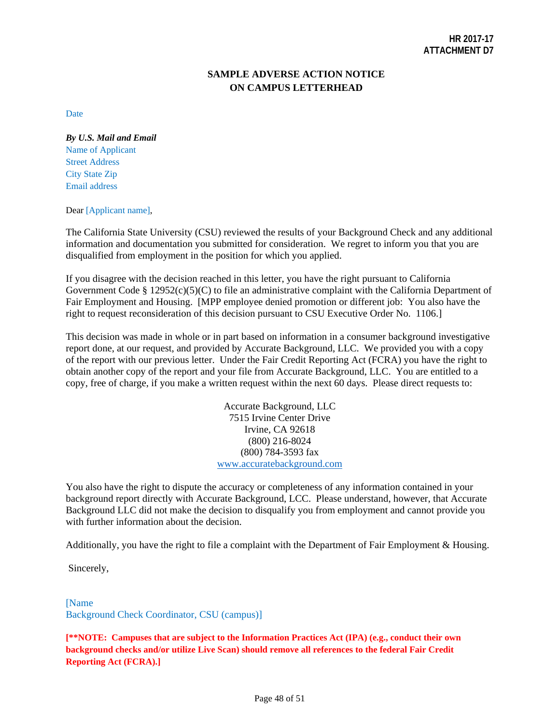#### **SAMPLE ADVERSE ACTION NOTICE ON CAMPUS LETTERHEAD**

**Date** 

*By U.S. Mail and Email* Name of Applicant Street Address City State Zip Email address

Dear [Applicant name],

The California State University (CSU) reviewed the results of your Background Check and any additional information and documentation you submitted for consideration. We regret to inform you that you are disqualified from employment in the position for which you applied.

If you disagree with the decision reached in this letter, you have the right pursuant to California Government Code §  $12952(c)(5)(C)$  to file an administrative complaint with the California Department of Fair Employment and Housing. [MPP employee denied promotion or different job: You also have the right to request reconsideration of this decision pursuant to CSU Executive Order No. 1106.]

This decision was made in whole or in part based on information in a consumer background investigative report done, at our request, and provided by Accurate Background, LLC. We provided you with a copy of the report with our previous letter. Under the Fair Credit Reporting Act (FCRA) you have the right to obtain another copy of the report and your file from Accurate Background, LLC. You are entitled to a copy, free of charge, if you make a written request within the next 60 days. Please direct requests to:

> Accurate Background, LLC 7515 Irvine Center Drive Irvine, CA 92618 (800) 216-8024 (800) 784-3593 fax [www.accuratebackground.com](http://www.accuratebackground.com/)

You also have the right to dispute the accuracy or completeness of any information contained in your background report directly with Accurate Background, LCC. Please understand, however, that Accurate Background LLC did not make the decision to disqualify you from employment and cannot provide you with further information about the decision.

Additionally, you have the right to file a complaint with the Department of Fair Employment & Housing.

Sincerely,

[Name Background Check Coordinator, CSU (campus)]

**[\*\*NOTE: Campuses that are subject to the Information Practices Act (IPA) (e.g., conduct their own background checks and/or utilize Live Scan) should remove all references to the federal Fair Credit Reporting Act (FCRA).]**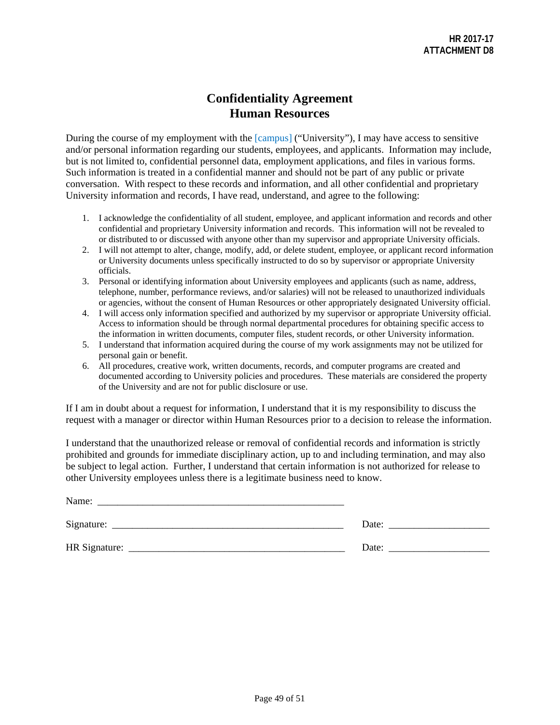#### **Confidentiality Agreement Human Resources**

During the course of my employment with the [campus] ("University"), I may have access to sensitive and/or personal information regarding our students, employees, and applicants. Information may include, but is not limited to, confidential personnel data, employment applications, and files in various forms. Such information is treated in a confidential manner and should not be part of any public or private conversation. With respect to these records and information, and all other confidential and proprietary University information and records, I have read, understand, and agree to the following:

- 1. I acknowledge the confidentiality of all student, employee, and applicant information and records and other confidential and proprietary University information and records. This information will not be revealed to or distributed to or discussed with anyone other than my supervisor and appropriate University officials.
- 2. I will not attempt to alter, change, modify, add, or delete student, employee, or applicant record information or University documents unless specifically instructed to do so by supervisor or appropriate University officials.
- 3. Personal or identifying information about University employees and applicants (such as name, address, telephone, number, performance reviews, and/or salaries) will not be released to unauthorized individuals or agencies, without the consent of Human Resources or other appropriately designated University official.
- 4. I will access only information specified and authorized by my supervisor or appropriate University official. Access to information should be through normal departmental procedures for obtaining specific access to the information in written documents, computer files, student records, or other University information.
- 5. I understand that information acquired during the course of my work assignments may not be utilized for personal gain or benefit.
- 6. All procedures, creative work, written documents, records, and computer programs are created and documented according to University policies and procedures. These materials are considered the property of the University and are not for public disclosure or use.

If I am in doubt about a request for information, I understand that it is my responsibility to discuss the request with a manager or director within Human Resources prior to a decision to release the information.

I understand that the unauthorized release or removal of confidential records and information is strictly prohibited and grounds for immediate disciplinary action, up to and including termination, and may also be subject to legal action. Further, I understand that certain information is not authorized for release to other University employees unless there is a legitimate business need to know.

Name: \_\_\_\_\_\_\_\_\_\_\_\_\_\_\_\_\_\_\_\_\_\_\_\_\_\_\_\_\_\_\_\_\_\_\_\_\_\_\_\_\_\_\_\_\_\_\_\_\_

Signature:  $\Box$ 

HR Signature: \_\_\_\_\_\_\_\_\_\_\_\_\_\_\_\_\_\_\_\_\_\_\_\_\_\_\_\_\_\_\_\_\_\_\_\_\_\_\_\_\_\_\_ Date: \_\_\_\_\_\_\_\_\_\_\_\_\_\_\_\_\_\_\_\_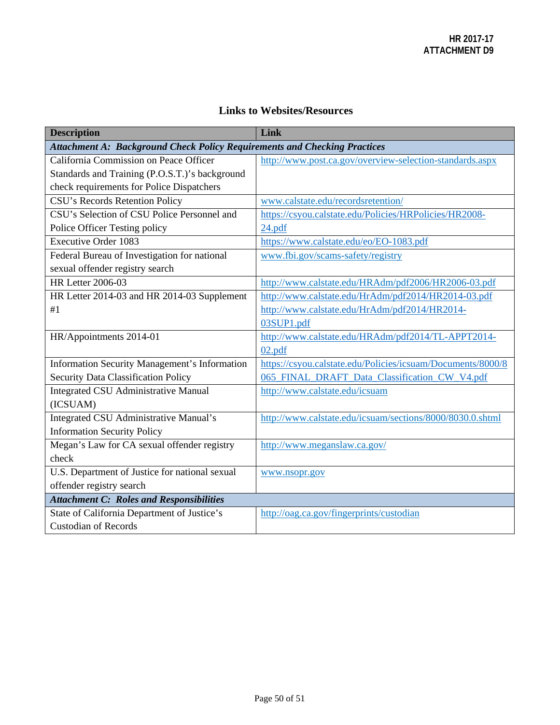|  | <b>Links to Websites/Resources</b> |
|--|------------------------------------|
|--|------------------------------------|

| <b>Description</b>                                                               | Link                                                        |
|----------------------------------------------------------------------------------|-------------------------------------------------------------|
| <b>Attachment A: Background Check Policy Requirements and Checking Practices</b> |                                                             |
| California Commission on Peace Officer                                           | http://www.post.ca.gov/overview-selection-standards.aspx    |
| Standards and Training (P.O.S.T.)'s background                                   |                                                             |
| check requirements for Police Dispatchers                                        |                                                             |
| CSU's Records Retention Policy                                                   | www.calstate.edu/recordsretention/                          |
| CSU's Selection of CSU Police Personnel and                                      | https://csyou.calstate.edu/Policies/HRPolicies/HR2008-      |
| Police Officer Testing policy                                                    | 24.pdf                                                      |
| <b>Executive Order 1083</b>                                                      | https://www.calstate.edu/eo/EO-1083.pdf                     |
| Federal Bureau of Investigation for national                                     | www.fbi.gov/scams-safety/registry                           |
| sexual offender registry search                                                  |                                                             |
| <b>HR Letter 2006-03</b>                                                         | http://www.calstate.edu/HRAdm/pdf2006/HR2006-03.pdf         |
| HR Letter 2014-03 and HR 2014-03 Supplement                                      | http://www.calstate.edu/HrAdm/pdf2014/HR2014-03.pdf         |
| #1                                                                               | http://www.calstate.edu/HrAdm/pdf2014/HR2014-               |
|                                                                                  | 03SUP1.pdf                                                  |
| HR/Appointments 2014-01                                                          | http://www.calstate.edu/HRAdm/pdf2014/TL-APPT2014-          |
|                                                                                  | 02.pdf                                                      |
| Information Security Management's Information                                    | https://csyou.calstate.edu/Policies/icsuam/Documents/8000/8 |
| <b>Security Data Classification Policy</b>                                       | 065_FINAL_DRAFT_Data_Classification_CW_V4.pdf               |
| <b>Integrated CSU Administrative Manual</b>                                      | http://www.calstate.edu/icsuam                              |
| (ICSUAM)                                                                         |                                                             |
| Integrated CSU Administrative Manual's                                           | http://www.calstate.edu/icsuam/sections/8000/8030.0.shtml   |
| <b>Information Security Policy</b>                                               |                                                             |
| Megan's Law for CA sexual offender registry                                      | http://www.meganslaw.ca.gov/                                |
| check                                                                            |                                                             |
| U.S. Department of Justice for national sexual                                   | www.nsopr.gov                                               |
| offender registry search                                                         |                                                             |
| <b>Attachment C: Roles and Responsibilities</b>                                  |                                                             |
| State of California Department of Justice's                                      | http://oag.ca.gov/fingerprints/custodian                    |
| <b>Custodian of Records</b>                                                      |                                                             |